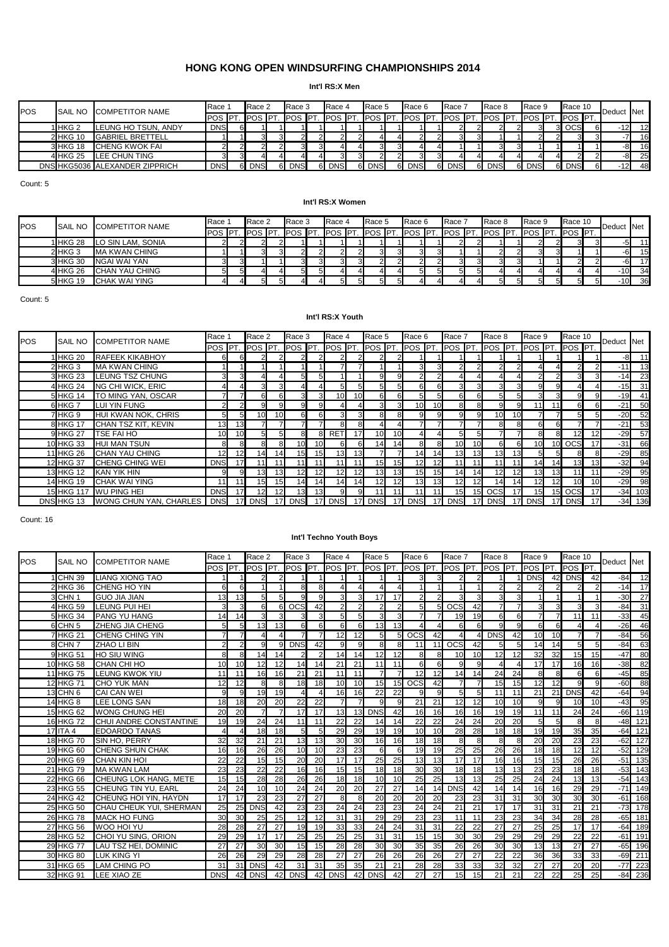#### **Int'l RS:X Men**

| POS | <b>SAIL NO</b> | <b>COMPETITOR NAME</b>         | Race 1         |    | Race 2     | Race 3            |    | Race 4        | Race 5        | Race 6          |    | Race 7     | <b>Race 8</b>                   | Race 9                     | Race 10        | Deduct Net      |    |
|-----|----------------|--------------------------------|----------------|----|------------|-------------------|----|---------------|---------------|-----------------|----|------------|---------------------------------|----------------------------|----------------|-----------------|----|
|     |                |                                | <b>POS IPT</b> |    | POS PT.    | . <b>I</b> POS PT |    | <b>POS PT</b> | <b>POS</b> PT | <b>IPOS PT.</b> |    | POS PT.    | $\sqrt{\text{POS}}$ $\text{PT}$ | . <b>I</b> POS <b>I</b> PT | <b>POS PT.</b> |                 |    |
|     | 1 IHKG 2       | LEUNG HO TSUN, ANDY            | <b>DNS</b>     | 61 |            |                   |    |               |               |                 |    |            |                                 |                            |                | 12 <sup>1</sup> | 12 |
|     | 2 HKG 10       | <b>GABRIEL BRETTELL</b>        |                |    |            |                   |    |               |               |                 |    |            |                                 |                            |                |                 | 16 |
|     | 3 HKG 18       | <b>CHENG KWOK FAI</b>          | 21             |    |            |                   |    |               |               |                 |    |            |                                 |                            |                | -81             | 16 |
|     | 4 HKG 25       | LEE CHUN TING                  | ЗΙ.            |    |            |                   |    |               |               | ЗΙ.             |    |            |                                 |                            |                | -81             | 25 |
|     |                | DNS HKG5036 ALEXANDER ZIPPRICH | <b>DNS</b>     |    | <b>DNS</b> | <b>DNS</b>        | 61 | <b>DNS</b>    | <b>DNS</b>    | <b>DNS</b>      | 6. | <b>DNS</b> | <b>DNS</b>                      | 6 DNS                      | <b>DNS</b>     | 12 <sup>1</sup> | 48 |

Count: 5

#### **Int'l RS:X Women**

| <b>POS</b> | <b>SAIL NO</b> | <b>COMPETITOR NAME</b> | Race           | Race 2      | Race 3         |    | Race 4         | Race 5 | Race 6                | Race 7             | Race 8 | Race 9         | Race 10        | Deduct Net      |    |
|------------|----------------|------------------------|----------------|-------------|----------------|----|----------------|--------|-----------------------|--------------------|--------|----------------|----------------|-----------------|----|
|            |                |                        | POS <b>IPT</b> | <b>IPOS</b> | <b>POS PT.</b> |    | <b>POS PT.</b> |        | . Ipos Ipt. Ipos Ipt. | . IPOS PT. POS PT. |        | <b>POS PT.</b> | <b>POS PT.</b> |                 |    |
|            | 1 HKG 28       | LO SIN LAM, SONIA      |                |             |                |    |                |        |                       |                    |        |                | 31             |                 | 11 |
|            | 2 HKG 3        | <b>MA KWAN CHING</b>   |                |             |                |    |                |        |                       |                    |        |                |                |                 | 15 |
|            | 3 HKG 30       | NGAI WAI YAN           |                |             |                |    |                |        |                       |                    |        |                |                |                 | 17 |
|            | 4 HKG 26       | CHAN YAU CHING         |                |             | ᄗ              | 51 |                |        |                       |                    |        |                |                | 10              | 34 |
|            | 5 HKG 19       | <b>CHAK WAI YING</b>   |                |             |                |    |                |        |                       |                    |        | 51             | 5 <sub>l</sub> | 10 <sup>1</sup> | 36 |

Count: 5

#### **Int'l RS:X Youth**

| <b>POS</b> | <b>SAIL NO</b> | <b>COMPETITOR NAME</b>        | Race 1     |                 | Race 2                 |    | Race 3     |                 | Race 4          |     | Race 5          |    | Race 6          |             | Race 7          |                 | Race 8          |                 | Race 9          |                 | Race 10         |                 | Deduct Net |           |
|------------|----------------|-------------------------------|------------|-----------------|------------------------|----|------------|-----------------|-----------------|-----|-----------------|----|-----------------|-------------|-----------------|-----------------|-----------------|-----------------|-----------------|-----------------|-----------------|-----------------|------------|-----------|
|            |                |                               |            |                 | <b>POS PT. POS PT.</b> |    | <b>POS</b> | <b>IPT</b>      | <b>POS PT.</b>  |     | <b>POS PT.</b>  |    | <b>POS</b>      | $\sqrt{PT}$ | <b>POS</b>      | IPT.            | <b>IPOS PT</b>  |                 | <b>IPOS PT.</b> |                 | POS PT.         |                 |            |           |
|            | 1 HKG 20       | <b>RAFEEK KIKABHOY</b>        | 6          |                 |                        |    |            |                 |                 |     |                 |    |                 |             |                 |                 |                 |                 |                 |                 |                 |                 | -8         | 11        |
|            | 2 HKG 3        | <b>MA KWAN CHING</b>          |            |                 |                        |    |            |                 |                 |     |                 |    |                 |             |                 |                 |                 |                 |                 |                 |                 |                 | $-111$     | 13        |
|            | 3 HKG 23       | <b>LEUNG TSZ CHUNG</b>        |            |                 |                        |    |            |                 |                 |     |                 |    |                 |             |                 |                 |                 |                 |                 |                 |                 |                 | $-14$      | 23        |
|            | 4 HKG 24       | <b>NG CHI WICK, ERIC</b>      |            |                 |                        |    |            |                 |                 |     |                 | 51 | 6               |             |                 |                 | 3.              |                 |                 |                 |                 |                 | $-15$      | 31        |
|            | 5 HKG 14       | TO MING YAN, OSCAR            |            |                 |                        | 6  | 31         | 3               | 10              | 10  | 61              | 6  |                 |             |                 | 6               | 5.              |                 |                 |                 |                 | 9               | $-19$      | 41        |
|            | 6 HKG 7        | LUI YIN FUNG                  |            |                 |                        | 9  |            |                 |                 |     | ЗΙ              | 31 | 10              |             |                 |                 | 9               | 9               |                 |                 |                 | 6               | $-21$      | 50        |
|            | 7 HKG 9        | HUI KWAN NOK, CHRIS           | 5          |                 | 10 <sup>1</sup>        | 10 | 61         |                 |                 |     | яI              | 8  | 9               |             |                 | 9               | 10 <sup>1</sup> | 10 <sup>1</sup> |                 |                 |                 | 5               | $-20$      | 52        |
|            | 8 HKG 17       | CHAN TSZ KIT, KEVIN           | 13         | 13 <sub>1</sub> |                        |    |            |                 |                 |     |                 |    |                 |             |                 |                 | 8.              | 8               | 61              |                 |                 |                 | $-21$      | 53        |
|            | 9 HKG 27       | <b>TSE FAI HO</b>             | 10         | 10              |                        | 51 | 8          | 8.              | RET             | 171 | 10 <sup>1</sup> | 10 |                 |             |                 | 5               |                 |                 | 81              |                 |                 | 12              | $-29$      | 57        |
|            | 10 HKG 33      | <b>HUI MAN TSUN</b>           | 8          |                 |                        | 8  | 10         | 10 <sup>1</sup> | 61              | 6   | 14 <sup>1</sup> | 14 | 8               |             | 10              | 10              | 61              | 6               | 10 <sup>1</sup> | 10 <sup>1</sup> | <b>OCS</b>      | 17              | $-31$      | 66        |
|            | 11 HKG 26      | CHAN YAU CHING                | 12         | 12              | 141                    | 14 | 15         | 15 <sub>l</sub> | 13 <sub>l</sub> | 13  |                 |    | 14 <sub>1</sub> | 14          | 13 <sub>l</sub> | 13              | 13              | 13              | 51              |                 |                 | 8               | $-29$      | 85        |
|            | 12 HKG 37      | CHENG CHING WEI               | <b>DNS</b> | 17              |                        |    | 11         | 11              | 11              | 111 | 15 <sub>l</sub> | 15 | 12 <sub>h</sub> | 12          |                 | 11              | 11              | 11              | 14              | 14I             | 13              | 13              | $-32$      | 94        |
|            | 13 HKG 12      | <b>KAN YIK HIN</b>            | 9          | 91              | 13 <sup>1</sup>        | 13 | 12         | 12              | 12              | 12  | 13              | 13 | 15              | 15          | 141             | 14              | 12              | 12              | 13              | 131             |                 | 11              | $-29$      | 95        |
|            | 14 HKG 19      | <b>CHAK WAI YING</b>          | 11         |                 | 15                     | 15 | 14         | 14              | 14              | 14  | 12              | 12 | 13              | 13          | 12              | 12              | 14              | 14              | 12              |                 | 10 <sup>1</sup> | 10              | $-29$      | 98        |
|            |                | 15 HKG 117 WU PING HEI        | <b>DNS</b> |                 |                        | 12 | 13         | 13 <sub>l</sub> | 9               |     |                 |    | 11              |             | 15              | 15I             | <b>OCS</b>      |                 | 15 <sub>l</sub> |                 | <b>OCS</b>      | 17              |            | $-34$ 103 |
|            | DNS HKG 13     | <b>WONG CHUN YAN, CHARLES</b> | <b>DNS</b> |                 | <b>DNS</b>             |    | <b>DNS</b> | 17              | <b>DNS</b>      |     | <b>DNS</b>      | 17 | <b>DNS</b>      |             | <b>DNS</b>      | 17 <sup>1</sup> | <b>DNS</b>      | 17 <sup>1</sup> | <b>DNS</b>      |                 | <b>DNS</b>      | 17 <sup>1</sup> |            | $-34$ 136 |

Count: 16

#### **Int'l Techno Youth Boys**

| POS | <b>SAIL NO</b>     | <b>COMPETITOR NAME</b>  | Race 1                  |              | Race 2         |                 | Race 3           |              | Race 4          |                | Race 5          |                | Race 6           |                 | Race 7           |                 | Race 8          |                         | Race 9          |                         | Race 10         |                 | Deduct | <b>Net</b> |
|-----|--------------------|-------------------------|-------------------------|--------------|----------------|-----------------|------------------|--------------|-----------------|----------------|-----------------|----------------|------------------|-----------------|------------------|-----------------|-----------------|-------------------------|-----------------|-------------------------|-----------------|-----------------|--------|------------|
|     |                    |                         | POS <b>PT</b>           |              | <b>POS PT.</b> |                 | <b>POS PT</b>    |              | POS PT.         |                | POS PT.         |                | POS PT.          |                 | POS PT.          |                 | . Ipos Ipt.     |                         | POS <b>PT.</b>  |                         | <b>POS PT.</b>  |                 |        |            |
|     | 1 CHN 39           | <b>LIANG XIONG TAO</b>  |                         |              |                | 2               |                  |              |                 |                |                 |                |                  |                 | 2                |                 |                 |                         | <b>DNS</b>      | 42                      | <b>DNS</b>      | 42              | $-84$  | 12         |
|     | 2 HKG 36           | CHENG HO YIN            | 6                       | 6            |                |                 | <b>R</b>         |              |                 |                |                 |                |                  |                 |                  |                 | っ               |                         |                 |                         |                 |                 | $-14$  | 17         |
|     | 3 CHN 1            | <b>GUO JIA JIAN</b>     | 13                      | 13           |                | 5 <sup>1</sup>  | Q                | a            | 3               | 3              | 17              | 17             |                  |                 | 3                | 3               | 3               |                         |                 |                         |                 |                 | $-30$  | 27         |
|     | 4 HKG 59           | <b>LEUNG PUI HEI</b>    | $\overline{\mathbf{3}}$ | 3            | 6              | $6 \mid$        | $\overline{OCS}$ | 42           | $\mathcal{P}$   | $\overline{2}$ | $\overline{2}$  | $\overline{2}$ | 5                |                 | $\overline{OCS}$ | 42              | 7               |                         | 3               | $\overline{\mathbf{3}}$ | 3               | 3               | $-84$  | 31         |
|     | 5 HKG 34           | <b>PANG YU HANG</b>     | 14                      | 14           | 3              | 3               | 3                | $\mathbf{R}$ | $5\overline{5}$ | 5              | 3               | 3              |                  |                 | 19               | 19              | 6               | 6                       | $\overline{7}$  | $\overline{7}$          | 11              | 11              | $-33$  | 45         |
|     | 6 CHN <sub>5</sub> | <b>ZHENG JIA CHENG</b>  |                         | 5            | 13             | 13              | 6                |              | 6               | 6              | 13              | 13             |                  |                 | 6                | 6               | q               | 9                       | $6 \mid$        | 6                       |                 |                 | $-26$  | 46         |
|     | <b>7 HKG 21</b>    | <b>CHENG CHING YIN</b>  |                         |              |                | 4               |                  |              | 12              | 12             | 5               | 5              | $\overline{ocs}$ | 42              | $\Delta$         |                 | <b>DNS</b>      | 42                      | 10              | 10 <sup>1</sup>         | 7               |                 | $-84$  | 56         |
|     | 8 CHN 7            | ZHAO LI BIN             | $\overline{2}$          |              |                | 9               | <b>DNS</b>       | 42           | 9               | $\mathbf{q}$   | 8               | 8              | 11               | 11              | <b>OCS</b>       | 42              | 5               | 5                       | 14              | 14                      | 5               | 5               | $-84$  | 63         |
|     | 9 HKG 51           | <b>HO SIU WING</b>      | $\mathsf{R}$            | 8            | 14             | 14              |                  |              | 14              | 14             | 12              | 12             | 8                | 8               | 10               | 10              | 12              | 12                      | 32              | 32                      | 15              | 15              | $-47$  | 80         |
|     | 10 HKG 58          | <b>CHAN CHI HO</b>      | 10                      | 10           | 12             | 12              | 14               | 14           | 21              | 21             | 11              | 11             | 6                | 6               | $\mathbf{Q}$     | $\mathbf{q}$    | $\Delta$        | $\overline{\mathbf{A}}$ | 17              | 17                      | 16              | 16              | $-38$  | 82         |
|     | 11 HKG 75          | <b>LEUNG KWOK YIU</b>   | 11                      | 11           | 16             | 16              | 21               | 21           | 11              | 11             |                 |                | 12               | 12              | 14               | 14              | 24              | 24                      | 8               | 8                       | 6               | 6               | $-45$  | 85         |
|     | 12 HKG 71          | <b>CHO YUK MAN</b>      | 12                      | 12           | R              | 8               | 18               | 18           | 10              | 10             | 15              | 15             | <b>OCS</b>       | 42              | $\overline{7}$   |                 | 15              | 15                      | 12              | 12                      | 9               | $\mathbf{Q}$    | $-60$  | 88         |
|     | $13$ CHN 6         | CAI CAN WEI             | $\mathbf{Q}$            | $\mathbf{Q}$ | 19             | 19              |                  |              | 16              | 16             | $\overline{22}$ | 22             | q                | q               | 5                | 5               | 11              | 11                      | $\overline{21}$ | 21                      | <b>DNS</b>      | 42              | $-64$  | 94         |
|     | 14 HKG 8           | <b>LEE LONG SAN</b>     | 18                      | 18           | 20             | 20              | 22               | 22           |                 |                | Q               | 9              | 21               | 21              | 12               | 12              | 10              | 10                      | $\mathbf{Q}$    | я                       | 10              | 10              | $-43$  | 95         |
|     | 15 HKG 62          | <b>WONG CHUNG HEI</b>   | 20                      | 20           |                | $\overline{7}$  | 17               | 17           | 13              | 13             | <b>DNS</b>      | 42             | 16               | 16              | 16               | 16              | 19              | 19                      | 11              | 11                      | 24              | 24              | $-66$  | 119        |
|     | 16 HKG 72          | CHUI ANDRE CONSTANTINE  | 19                      | 19           | 24             | 24              | 11               | 11           | 22              | 22             | 14              | 14             | $\overline{22}$  | $\overline{22}$ | 24               | $\overline{24}$ | 20              | 20                      | $5 \mid$        | $5\overline{5}$         | 8               | 8               |        | $-48$ 121  |
|     | $17$ ITA 4         | <b>EDOARDO TANAS</b>    |                         | $\Delta$     | 18             | 18              | 5                | 5            | 29              | 29             | 19              | 19             | 10               | 10              | 28               | 28              | 18              | 18                      | 19              | 19                      | 35              | 35              |        | $-64$ 121  |
|     | 18 HKG 70          | SIN HO, PERRY           | 32                      | 32           | 21             | 21              | 13               | 13           | 30              | 30             | 16              | 16             | 18               | 18              | 8                | 8               | 8               | 8                       | 20              | 20                      | 23              | 23              | $-62$  | 127        |
|     | 19 HKG 60          | <b>CHENG SHUN CHAK</b>  | 16                      | 16           | 26             | 26              | 10               | 10           | 23              | 23             | 6               | 6              | 19               | 19              | 25               | 25              | 26              | 26                      | 18              | 18                      | 12              | 12              | $-52$  | 129        |
|     | 20 HKG 69          | <b>CHAN KIN HOI</b>     | 22                      | 22           | 15             | 15              | 20               | 20           | 17              | 17             | 25              | 25             | 13               | 13              | 17               | 17              | 16              | 16                      | 15              | 15                      | 26              | 26              | $-51$  | 135        |
|     | 21 HKG 79          | <b>MA KWAN LAM</b>      | 23                      | 23           | 22             | 22              | 16               | 16           | 15              | 15             | 18              | 18             | 30               | 30              | 18               | 18              | 13              | 13                      | 23              | 23                      | 18              | 18              |        | $-53$ 143  |
|     | 22 HKG 66          | CHEUNG LOK HANG, METE   | 15                      | 15           | 28             | 28              | 26               | 26           | 18              | 18             | 10              | 10             | 25               | 25              | 13               | 13              | 25              | 25                      | 24              | 24                      | 13              | 13              |        | $-54$ 143  |
|     | 23 HKG 55          | CHEUNG TIN YU, EARL     | 24                      | 24           | 10             | 10              | 24               | 24           | 20              | 20             | $\overline{27}$ | 27             | 14               | 14              | <b>DNS</b>       | 42              | 14              | 14                      | 16              | 16                      | 29              | 29              | $-71$  | 149        |
|     | 24 HKG 42          | CHEUNG HOI YIN, HAYDN   | 17                      | 17           | 23             | 23              | 27               | 27           | 8               | 8              | 20              | 20             | 20               | 20              | 23               | 23              | 31              | 31                      | 30              | 30                      | 30              | $\overline{30}$ | $-61$  | 168        |
|     | 25 HKG 50          | CHAU CHEUK YUI, SHERMAN | 25                      | 25           | <b>DNS</b>     | 42              | 23               | 23           | 24              | 24             | 23              | 23             | $\overline{24}$  | 24              | 21               | $\overline{21}$ | 17              | 17                      | 31              | $\overline{31}$         | $\overline{21}$ | $\overline{21}$ |        | $-73$ 178  |
|     | 26 HKG 78          | <b>MACK HO FUNG</b>     | 30                      | 30           | 25             | 25              | 12               | 12           | 31              | 31             | 29              | 29             | 23               | 23              | 11               | 11              | 23              | 23                      | 34              | 34                      | 28              | 28              |        | $-65$ 181  |
|     | 27 HKG 56          | <b>WOO HOI YU</b>       | 28                      | 28           | 27             | $\overline{27}$ | 19               | 19           | 33              | 33             | 24              | 24             | 31               | 31              | 22               | 22              | 27              | $\overline{27}$         | 25              | 25                      | $\overline{17}$ | 17              |        | $-64$ 189  |
|     | 28 HKG 52          | CHOI YU SING, ORION     | 29                      | 29           | 17             | 17              | 25               | 25           | 25              | 25             | 31              | 31             | 15               | 15              | 30               | 30              | 29              | 29                      | 29              | 29                      | 22              | 22              |        | $-61$ 191  |
|     | 29 HKG 77          | LAU TSZ HEI. DOMINIC    | 27                      | 27           | 30             | 30              | 15               | 15           | 28              | 28             | 30              | 30             | 35               | 35              | 26               | 26              | 30              | 30                      | 13              | 13                      | 27              | 27              | $-65$  | 196        |
|     | 30 HKG 80          | <b>LUK KING YI</b>      | 26                      | 26           | 29             | 29              | 28               | 28           | 27              | 27             | 26              | 26             | 26               | 26              | 27               | 27              | $\overline{22}$ | 22                      | 36              | 36                      | 33              | 33              | $-69$  | 211        |
|     | 31 HKG 65          | <b>LAM CHING PO</b>     | 31                      | 31           | <b>DNS</b>     | 42              | 31               | 31           | 35              | 35             | $\overline{21}$ | 21             | 28               | 28              | 33               | 33              | 32              | 32                      | 27              | 27                      | 20              | 20              | $-77$  | 223        |
|     | 32 HKG 91          | LEE XIAO ZE             | <b>DNS</b>              | 42           | <b>DNS</b>     | 42              | <b>DNS</b>       | 42           | <b>DNS</b>      | 42             | <b>DNS</b>      | 42             | 27               | 27              | 15               | 15              | 21              | 21                      | 22              | 22                      | 25              | 25              | $-84$  | 236        |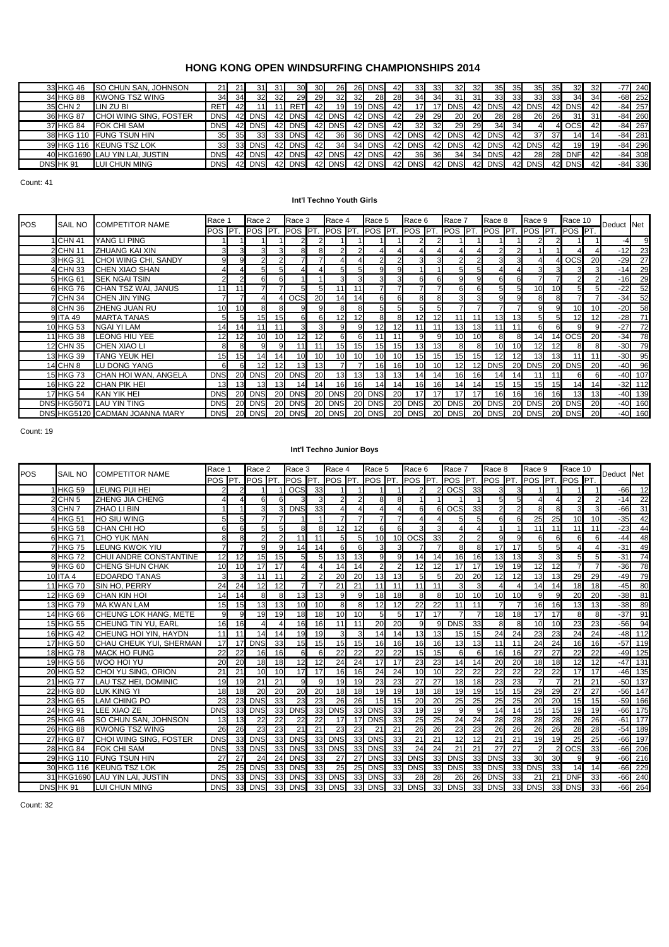| 33 HKG 46 | <b>SO CHUN SAN, JOHNSON</b>    | 21         |      | 31              |                 | 30         | <b>30</b> | 26              | 26  | <b>DNS</b> | 42        | 33         | 33   | 32         | 32        | 35              | 35  | 35         | 351        | 32         | -32  | $-77$ 240 |
|-----------|--------------------------------|------------|------|-----------------|-----------------|------------|-----------|-----------------|-----|------------|-----------|------------|------|------------|-----------|-----------------|-----|------------|------------|------------|------|-----------|
| 34 HKG 88 | <b>KWONG TSZ WING</b>          | 34         | 34   | 32 <sub>l</sub> | 32              | 29         | 29        | 32 <sub>l</sub> | 32  | 28         | <b>28</b> | 34         | 34   | 31         | 31        | 33 <sup>1</sup> | 33I | 33         | -331       | 34         | 34   | $-68$ 252 |
| 35 CHN 2  | LIN ZU BI                      | <b>RET</b> | 421  |                 |                 | <b>RET</b> | 42I       | 19              | 191 | <b>DNS</b> | 42        |            |      | DNS        | 421       | DNS             | 42  | <b>DNS</b> |            | 42 DNS     | -42  | $-84$ 257 |
| 36 HKG 87 | CHOI WING SING, FOSTER         | DNS        |      | <b>DNS</b>      | 42I             | <b>DNS</b> | 42I       | <b>DNS</b>      | 42  | <b>DNS</b> | 42        | 29         | -29  | <b>20</b>  | <b>20</b> | 28              | 28I | 26I        | <b>261</b> | 31         | -31  | $-84$ 260 |
| 37 HKG 84 | <b>FOK CHI SAM</b>             | <b>DNS</b> |      | DNS             | 42I             | <b>DNS</b> | 42I       | DNS             | 42  | <b>DNS</b> | 42        | 32         | -321 | 29         | 29        | 34              | 34  |            |            | <b>OCS</b> | -421 | $-84$ 267 |
|           | 38 HKG 110 FUNG TSUN HIN       | 35         | 351  | 33              | 33 <sup>1</sup> | <b>DNS</b> | 42I       | 36              | 361 | <b>DNS</b> |           | <b>DNS</b> | 42   | <b>DNS</b> | 42        | <b>DNS</b>      | 42  | 37         | 37         | 14         |      | $-84$ 281 |
|           | 39 HKG 116 KEUNG TSZ LOK       | 33         | 33 I | <b>DNS</b>      | 42I             | <b>DNS</b> | 42I       | 34              | 34  | <b>DNS</b> |           | <b>DNS</b> | 42   | <b>DNS</b> | 42        | <b>DNS</b>      | 42  | <b>DNS</b> | 42I        | 19         | 19   | $-84$ 296 |
|           | 40 HKG1690 LAU YIN LAI, JUSTIN | <b>DNS</b> |      | <b>DNS</b>      | 42I             | <b>DNS</b> | 42        | <b>DNS</b>      | 42  | <b>DNS</b> | 42        | 36         | 36I  | 34         | 34        | <b>DNS</b>      | 42  | <b>28</b>  | 28I        | <b>DNF</b> | 42   | $-84$ 308 |
| DNS HK 91 | LUI CHUN MING                  | <b>DNS</b> |      | <b>DNS</b>      | 42I             | <b>DNS</b> | 42        | <b>DNS</b>      | 42  | <b>DNS</b> | 42        | <b>DNS</b> | 42   | <b>DNS</b> | 42        | <b>DNS</b>      | 42  | <b>DNS</b> |            | 42 DNS     | 42   | $-84$ 336 |
|           |                                |            |      |                 |                 |            |           |                 |     |            |           |            |      |            |           |                 |     |            |            |            |      |           |

Count: 41

#### **Int'l Techno Youth Girls**

| <b>POS</b> | <b>SAIL NO</b>   | <b>COMPETITOR NAME</b>         | Race 1          |                 | Race 2             |                | Race 3     |           | Race 4     |           | Race 5          |              | Race 6                         |           | Race 7     |           | Race 8                 |    | Race 9          |                 | Race 10                     |    | Deduct Net |           |
|------------|------------------|--------------------------------|-----------------|-----------------|--------------------|----------------|------------|-----------|------------|-----------|-----------------|--------------|--------------------------------|-----------|------------|-----------|------------------------|----|-----------------|-----------------|-----------------------------|----|------------|-----------|
|            |                  |                                | POS <b>IPT.</b> |                 | <b>POS PT. POS</b> |                |            | IPT.      |            |           |                 |              | <b>POS PT. POS PT. POS PT.</b> |           |            |           | <b>POS PT. POS PT.</b> |    | <b>POS PT.</b>  |                 | . <b>I</b> POS <b>I</b> PT. |    |            |           |
|            | I CHN 41         | YANG LI PING                   |                 |                 |                    |                |            |           |            |           |                 |              |                                |           |            |           |                        |    |                 |                 |                             |    | $-4$       | 9         |
|            | 2 CHN 11         | <b>ZHUANG KAI XIN</b>          | 3               |                 | з.                 | 3              | 8          | 8.        |            |           |                 |              |                                |           |            |           |                        |    |                 |                 |                             |    | $-12$      | 23        |
|            | 3 HKG 31         | CHOI WING CHI, SANDY           | 9.              |                 |                    | $\overline{2}$ |            |           |            |           |                 |              |                                |           |            |           | 3                      |    |                 |                 | <b>OCS</b>                  | 20 | $-29$      | 27        |
|            | 4 CHN 33         | <b>CHEN XIAO SHAN</b>          |                 |                 |                    |                |            |           |            |           | q               | <sub>9</sub> |                                |           | 5          |           |                        |    |                 |                 |                             |    | $-14$      | 29        |
|            | 5 HKG 61         | <b>SEK NGAI TSIN</b>           | $\mathcal{P}$   |                 | 61                 | 6              |            |           |            |           | 3               | 3            |                                |           | g          | 9         | 6                      |    |                 |                 | $\mathcal{P}$               |    | $-16$      | 29        |
|            | 6 HKG 76         | CHAN TSZ WAI, JANUS            | 11              |                 |                    |                | 5          |           | 11         |           |                 |              |                                |           | 6          | 61        | 5                      | 5  | 10 <sup>1</sup> | 10              | 51                          |    | $-22$      | 52        |
|            | 7 CHN 34         | <b>CHEN JIN YING</b>           |                 |                 |                    | 4              | <b>OCS</b> | <b>20</b> | 14         |           |                 | 6            |                                |           |            |           | g                      |    |                 |                 |                             |    | $-34$      | 52        |
|            | 8 CHN 36         | ZHENG JUAN RU                  | 10              | 10 <sup>1</sup> | 8l                 |                | g          |           | R.         |           | 5               | 5            |                                |           |            |           |                        |    | 9l              | q               | 10                          | 10 | $-20$      | 58        |
|            | 9 ITA 49         | <b>MARTA TANAS</b>             | 51              |                 | 15 <sub>l</sub>    | 15             | 6          | 6         | 12         | 12        | 8               | 8            | 12                             |           | 11         | 111       | 13                     | 13 |                 | 51              | 12                          | 12 | $-28$      | 71        |
|            | 10 HKG 53        | <b>NGAI YI LAM</b>             | 14 <sub>1</sub> | 14              |                    | 11             | 3          |           | 9          |           | 12              | 12           |                                |           | 13         | 13        | 11 <sub>1</sub>        |    | 6І              |                 | 9                           |    | $-27$      | 72        |
|            | 11 HKG 38        | <b>LEONG HIU YEE</b>           | 12 <sub>l</sub> | 12              | 10 <sup>1</sup>    | 10             | 12         |           | 61         | 6         | 11              | 11           |                                |           | 10         | 10        | 8                      |    | 14              |                 | 14 OCS                      | 20 | $-34$      | 78        |
|            | 12 CHN 35        | <b>CHEN XIAO LI</b>            | 8               |                 | 9                  | $\mathbf{Q}$   | 11         |           | 15         | 15        | 15              | 15           | 13 <sub>h</sub>                |           | 8          |           | 10                     | 10 |                 |                 | 8                           |    | $-30$      | 79        |
|            | 13 HKG 39        | <b>TANG YEUK HEI</b>           | 15              | 15 <sub>l</sub> | 14                 | 14             | 10         |           | 10         | 10        | 10 <sup>1</sup> | 10           | 15                             |           | 15         | 15        | 12                     | 12 | 13 <sup>l</sup> | 13 <sup>1</sup> | 11                          |    | $-30$      | 95        |
|            | <b>14 CHN 8</b>  | <b>LU DONG YANG</b>            |                 |                 |                    | 12             | 13         | 13        |            |           | 16              | 16           | 10 <sup>1</sup>                | 10        | 12         | 12        | <b>DNS</b>             | 20 | <b>DNS</b>      | 20              | <b>DNS</b>                  | 20 | $-40$      | 96        |
|            | 15 HKG 73        | CHAN HOI WAN, ANGELA           | <b>DNS</b>      | 20              |                    | 20             | <b>DNS</b> | 20        | 13         |           | 13              | 13           | 14                             |           | 16         | 16        |                        | 14 |                 |                 | 6                           |    |            | $-40$ 107 |
|            | 16 HKG 22        | <b>CHAN PIK HEI</b>            | 13              | 1.3             | 131                |                | 14         |           | 16         |           | 14              | 14           | 16                             |           | 14         | 14        | 15                     | 15 |                 | 15              | 14                          | 14 |            | $-32$ 112 |
|            | <b>17 HKG 54</b> | KAN YIK HEI                    | <b>DNS</b>      | 20              | <b>DNS</b>         | 20             | <b>DNS</b> | 20        | <b>DNS</b> | 20        | <b>DNS</b>      | 20           |                                |           | 17         | 17        | 16                     | 16 | 16              | 16              | 13                          | 13 |            | $-40$ 139 |
|            |                  | DNS HKG5071 LAU YIN TING       | <b>DNS</b>      | <b>20</b>       | <b>DNS</b>         | <b>20</b>      | <b>DNS</b> | <b>20</b> | <b>DNS</b> | <b>20</b> | <b>DNS</b>      | <b>20</b>    | <b>DNS</b>                     | <b>20</b> | <b>DNS</b> | <b>20</b> | <b>DNS</b>             | 20 | <b>DNS</b>      | 20              | <b>DNS</b>                  | 20 |            | $-40$ 160 |
|            |                  | DNS HKG5120 CADMAN JOANNA MARY | <b>DNS</b>      | 20              | <b>DNS</b>         | 20             | <b>DNS</b> | 20        | <b>DNS</b> | 20        | <b>DNS</b>      | <b>20</b>    | <b>DNS</b>                     | 20        | <b>DNS</b> | <b>20</b> | <b>DNS</b>             | 20 | <b>DNS</b>      | <b>201</b>      | <b>DNS</b>                  | 20 |            | $-40$ 160 |

Count: 19

#### **Int'l Techno Junior Boys**

| POS | <b>SAIL NO</b>     | <b>COMPETITOR NAME</b>         | Race 1         |                         | Race 2        |                | Race 3         |    | Race 4                   |                 | Race 5         |                       | Race 6           |              | Race 7         |                | Race 8          |                | Race 9          |                         | Race 10         |                        | Deduct Net |           |
|-----|--------------------|--------------------------------|----------------|-------------------------|---------------|----------------|----------------|----|--------------------------|-----------------|----------------|-----------------------|------------------|--------------|----------------|----------------|-----------------|----------------|-----------------|-------------------------|-----------------|------------------------|------------|-----------|
|     |                    |                                | POS <b>PT</b>  |                         | <b>POS PT</b> |                | POS <b>IPT</b> |    | POS <sup>PT</sup>        |                 | <b>POS PT</b>  |                       | POS <b>PT</b>    |              | POS PT         |                | <b>POS PT</b>   |                | <b>POS PT</b>   |                         | POS PT.         |                        |            |           |
|     | 1 HKG 59           | LEUNG PUI HEI                  |                | 2                       |               |                | <b>OCS</b>     | 33 |                          |                 |                |                       |                  |              | <b>OCS</b>     | 33             | 3               |                |                 |                         |                 |                        | $-66$      | 12        |
|     | 2 CHN <sub>5</sub> | <b>ZHENG JIA CHENG</b>         | 4              | $\overline{\mathbf{A}}$ | ี             | 6              |                | 3  | $\mathcal{P}$            | $\overline{2}$  | 8              | 8                     |                  |              |                | $\overline{1}$ | 5 <sup>1</sup>  | 5 <sup>1</sup> | 4               | $\overline{4}$          | $\overline{2}$  | $\mathcal{P}$          | $-14$      | 22        |
|     | 3 CHN 7            | ZHAO LI BIN                    |                |                         | 3             | $\overline{3}$ | <b>DNS</b>     | 33 | $\overline{\mathcal{A}}$ | Δ               | 4              | $\boldsymbol{\Delta}$ | 6                | 6            | <b>OCS</b>     | 33             | $\overline{2}$  | $\mathcal{P}$  | 8               | 8                       | 3               | 3                      | $-66$      | 31        |
|     | 4 HKG 51           | <b>HO SIU WING</b>             |                | 5                       |               |                |                |    |                          | 7               |                |                       |                  |              | 5              | 5              | 6               |                | 25              | 25                      | 10              | 10                     | $-35$      | 42        |
|     | 5 HKG 58           | <b>CHAN CHI HO</b>             | 6              | 6                       |               | 5              | 8              |    | 12                       | 12              | 6              | 6                     | 3                |              |                |                |                 |                | 11              | 11                      | 11              | 11                     | $-23$      | 44        |
|     | 6 HKG 71           | <b>CHO YUK MAN</b>             | 8              | 8                       |               | 2              | 11             | 11 | $5\overline{5}$          | 5               | 10             | 10                    | $\overline{OCS}$ | 33           | $\overline{2}$ |                | $\mathbf{Q}$    | 9              | 6               | 6                       | 6               | 6                      | $-44$      | 48        |
|     | <b>7 HKG 75</b>    | <b>LEUNG KWOK YIU</b>          | $\overline{7}$ | $\overline{7}$          | a             | 9              | 14             | 14 | 6                        | 6               | $\overline{3}$ | 3                     |                  |              | 8              | 8              | 17              | 17             | 5               | 5 <sub>l</sub>          | 4               | $\boldsymbol{\Lambda}$ | $-31$      | 49        |
|     | 8 HKG 72           | CHUI ANDRE CONSTANTINE         | 12             | 12                      | 15            | 15             | 5              | 5  | 13                       | 13              | 9              | 9                     | 14               | 14           | 16             | 16             | 13              | 13             | 3               | $\overline{\mathbf{3}}$ | 5               | 5                      | $-31$      | 74        |
|     | 9 HKG 60           | CHENG SHUN CHAK                | 10             | 10                      | 17            | 17             |                |    | 14                       | 14              | $\overline{2}$ | $\overline{2}$        | 12               | 12           | 17             | 17             | 19              | 19             | 12              | 12                      | $\overline{7}$  |                        | $-36$      | 78        |
|     | 10 ITA 4           | <b>EDOARDO TANAS</b>           | 3              | 3                       | 11            | 11             | $\mathcal{P}$  |    | 20                       | 20              | 13             | 13                    | 5                |              | 20             | 20             | 12              | 12             | 13              | 13                      | 29              | 29                     | $-49$      | 79        |
|     | 11 HKG 70          | SIN HO. PERRY                  | 24             | 24                      | 12            | 12             |                |    | 21                       | $\overline{21}$ | 11             | 11                    | 11               | 11           | 3              | 3              |                 |                | 14              | 14                      | 18              | 18                     | $-45$      | 80        |
|     | 12 HKG 69          | <b>CHAN KIN HOI</b>            | 14             | 14                      |               | 8              | 13             | 13 | 9                        | 9               | 18             | 18                    | 8                |              | 10             | 10             | 10              | 10             | 9               | $\mathbf{Q}$            | 20              | 20                     | $-38$      | 81        |
|     | 13 HKG 79          | <b>MA KWAN LAM</b>             | 15             | 15                      | 13            | 13             | 10             | 10 | 8                        | 8               | 12             | 12                    | 22               | 22           | 11             | 11             | $\overline{7}$  | $\overline{7}$ | 16              | 16                      | 13              | 13                     | $-38$      | 89        |
|     | 14 HKG 66          | CHEUNG LOK HANG, METE          | q              | 9                       | 19            | 19             | 18             | 18 | 10                       | 10              | $5 \square$    | 5                     | 17               | 17           |                |                | 18              | 18             | 17              | 17                      | 8               | 8                      | $-37$      | 91        |
|     | 15 HKG 55          | <b>CHEUNG TIN YU. EARL</b>     | 16             | 16                      |               |                | 16             | 16 | 11                       | 11              | 20             | 20                    | $\mathbf{Q}$     | $\mathbf{Q}$ | <b>DNS</b>     | 33             | 8               | 8              | 10              | 10 <sup>1</sup>         | 23              | 23                     | $-56$      | 94        |
|     | 16 HKG 42          | CHEUNG HOI YIN, HAYDN          | 11             | 11                      | 14            | 14             | 19             | 19 | 3                        | 3               | 14             | 14                    | 13               | 13           | 15             | 15             | 24              | 24             | 23              | 23                      | 24              | 24                     |            | $-48$ 112 |
|     | 17 HKG 50          | CHAU CHEUK YUI, SHERMAN        | 17             | 17                      | <b>DNS</b>    | 33             | 15             | 15 | 15                       | 15              | 16             | 16                    | 16               | 16           | 13             | 13             | 11              | 11             | $\overline{24}$ | 24                      | 16              | 16                     | $-57$      | 119       |
|     | 18 HKG 78          | <b>MACK HO FUNG</b>            | 22             | 22                      | 16            | 16             | 6              | 6  | 22                       | 22              | 22             | 22                    | 15               | 15           | 6              | 6              | 16              | 16             | 27              | 27                      | 22              | 22                     |            | $-49$ 125 |
|     | 19 HKG 56          | WOO HOI YU                     | 20             | 20                      | 18            | 18             | 12             | 12 | 24                       | $\overline{24}$ | 17             | 17                    | 23               | 23           | 14             | 14             | 20              | 20             | 18              | 18                      | $\overline{12}$ | $\overline{12}$        |            | $-47$ 131 |
|     | 20 HKG 52          | CHOI YU SING, ORION            | 21             | 21                      | 10            | 10             | 17             | 17 | 16                       | 16              | 24             | 24                    | 10               | 10           | 22             | 22             | $\overline{22}$ | 22             | $\overline{22}$ | 22                      | 17              | 17                     | $-46$      | 135       |
|     | 21 HKG 77          | LAU TSZ HEI, DOMINIC           | 19             | 19                      | 21            | 21             | $\mathbf{Q}$   | q  | 19                       | 19              | 23             | 23                    | 27               | 27           | 18             | 18             | 23              | 23             |                 |                         | 21              | 21                     | $-50$      | 137       |
|     | 22 HKG 80          | <b>LUK KING YI</b>             | 18             | 18                      | 20            | 20             | 20             | 20 | 18                       | 18              | 19             | 19                    | 18               | 18           | 19             | 19             | 15              | 15             | 29              | 29                      | $\overline{27}$ | $\overline{27}$        | $-56$      | 147       |
|     | 23 HKG 65          | <b>LAM CHING PO</b>            | 23             | 23                      | <b>DNS</b>    | 33             | 23             | 23 | 26                       | 26              | 15             | 15                    | 20               | 20           | 25             | 25             | 25              | 25             | 20              | <b>20</b>               | 15              | 15                     | $-59$      | 166       |
|     | 24 HKG 91          | <b>LEE XIAO ZE</b>             | <b>DNS</b>     | 33                      | <b>DNS</b>    | 33             | <b>DNS</b>     | 33 | <b>DNS</b>               | 33              | <b>DNS</b>     | 33                    | 19               | 19           | 9              | 9              | 14              | 14             | 15              | 15                      | 19              | 19                     |            | $-66$ 175 |
|     | 25 HKG 46          | SO CHUN SAN, JOHNSON           | 13             | 13                      | 22            | 22             | 22             | 22 | 17                       | 17              | <b>DNS</b>     | 33                    | 25               | 25           | 24             | 24             | 28              | 28             | 28              | <b>28</b>               | 26              | 26                     | $-61$      | 177       |
|     | 26 HKG 88          | <b>KWONG TSZ WING</b>          | 26             | 26                      | 23            | 23             | 21             | 21 | 23                       | 23              | 21             | 21                    | 26               | 26           | 23             | 23             | 26              | 26             | 26              | 26                      | 28              | 28                     | $-54$      | 189       |
|     | 27 HKG 87          | <b>CHOI WING SING, FOSTER</b>  | <b>DNS</b>     | 33                      | <b>DNS</b>    | 33             | <b>DNS</b>     | 33 | <b>DNS</b>               | 33              | <b>DNS</b>     | 33                    | 21               | 21           | 12             | 12             | 21              | 21             | 19              | 19                      | 25              | 25                     | $-66$      | 197       |
|     | 28 HKG 84          | <b>FOK CHI SAM</b>             | <b>DNS</b>     | 33                      | <b>DNS</b>    | 33             | <b>DNS</b>     | 33 | <b>DNS</b>               | 33              | <b>DNS</b>     | 33                    | 24               | 24           | 21             | 21             | 27              | 27             |                 | $\mathbf{2}$            | <b>OCS</b>      | 33                     | $-66$      | 206       |
|     | 29 HKG 110         | <b>FUNG TSUN HIN</b>           | 27             | 27                      | 24            | 24             | <b>DNS</b>     | 33 | 27                       | 27              | <b>DNS</b>     | 33                    | <b>DNS</b>       | 33           | <b>DNS</b>     | 33             | <b>DNS</b>      | 33             | 30              | 30                      | 9               | $\mathbf{Q}$           | $-66$      | 216       |
|     |                    | 30 HKG 116 KEUNG TSZ LOK       | 25             | 25                      | <b>DNS</b>    | 33             | <b>DNS</b>     | 33 | 25                       | 25              | <b>DNS</b>     | 33                    | <b>DNS</b>       | 33           | <b>DNS</b>     | 33             | <b>DNS</b>      | 33             | <b>DNS</b>      | 33                      | 14              | 14                     | $-66$      | 229       |
|     |                    | 31 HKG1690 LAU YIN LAI, JUSTIN | <b>DNS</b>     | 33                      | <b>DNS</b>    | 33             | <b>DNS</b>     | 33 | <b>DNS</b>               | 33              | <b>DNS</b>     | 33                    | 28               | 28           | 26             | 26             | <b>DNS</b>      | 33             | 21              | 21                      | <b>DNF</b>      | 33                     |            | $-66$ 240 |
|     | DNS HK 91          | <b>LUI CHUN MING</b>           | <b>DNS</b>     | 33                      | <b>DNS</b>    | 33             | <b>DNS</b>     | 33 | <b>DNS</b>               | 33              | <b>DNS</b>     | 33                    | <b>DNS</b>       | 33           | <b>DNS</b>     | 33             | <b>DNS</b>      | 33             | <b>DNS</b>      | 33                      | <b>DNS</b>      | 33                     | $-66$      | 264       |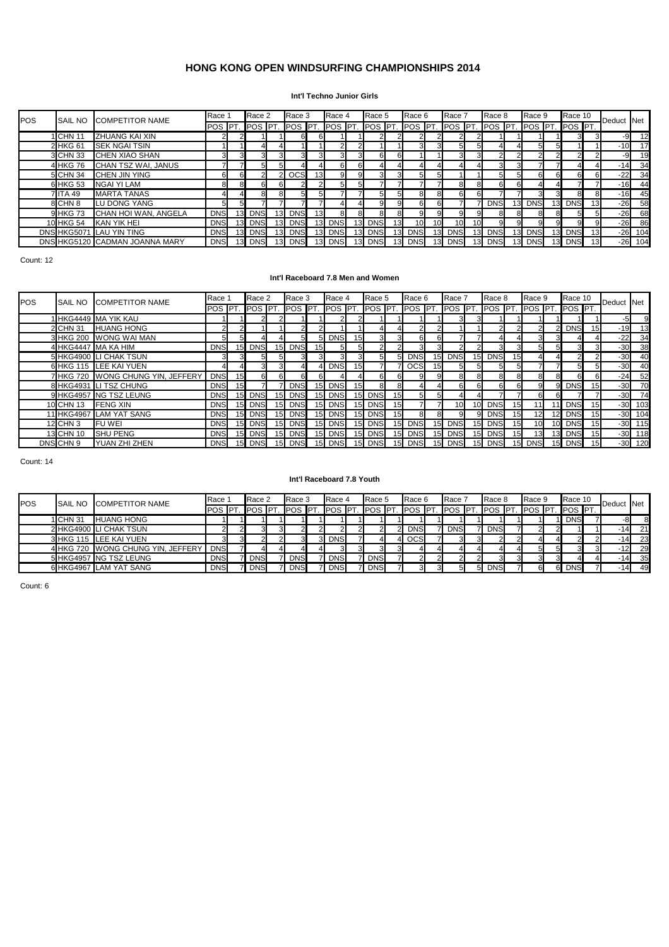#### **Int'l Techno Junior Girls**

| <b>POS</b> | <b>SAIL NO</b> | <b>COMPETITOR NAME</b>         | Race <sup>3</sup> |                 | Race 2         |     | Race 3      |            | Race 4      |                 | Race 5             |                 | Race 6          |    | Race 7          |    | Race 8                      |                 | Race 9     | Race 10    |                 | Deduct Net |           |
|------------|----------------|--------------------------------|-------------------|-----------------|----------------|-----|-------------|------------|-------------|-----------------|--------------------|-----------------|-----------------|----|-----------------|----|-----------------------------|-----------------|------------|------------|-----------------|------------|-----------|
|            |                |                                | POS PT.           |                 | <b>POS PT.</b> |     | <b>IPOS</b> | <b>IPT</b> | <b>IPOS</b> |                 | <b>PT. POS PT.</b> |                 | <b>IPOS PT.</b> |    | POS <b>IPT</b>  |    | . <b>I</b> POS <b>I</b> PT. |                 | POS PT.    | POS PT.    |                 |            |           |
|            | <b>ICHN</b> 11 | <b>ZHUANG KAI XIN</b>          |                   |                 |                |     |             |            |             |                 |                    |                 |                 |    |                 |    |                             |                 |            |            |                 | $-9$       | 12        |
|            | 2 HKG 61       | <b>SEK NGAI TSIN</b>           |                   |                 |                |     |             |            |             |                 |                    |                 |                 |    | 51              | 5. |                             |                 | 51         |            |                 | $-10$      | 17        |
|            | 3 CHN 33       | <b>CHEN XIAO SHAN</b>          |                   |                 |                | 3   |             |            |             |                 | 61                 | 6               |                 |    |                 |    |                             |                 |            |            |                 | $-9$       | 19        |
|            | 4 HKG 76       | CHAN TSZ WAI, JANUS            |                   |                 |                |     |             |            |             |                 |                    |                 |                 |    |                 |    | 3                           |                 |            |            |                 | $-14$      | 34        |
|            | 5 CHN 34       | <b>CHEN JIN YING</b>           | 6.                |                 |                |     | <b>OCS</b>  | 13         |             |                 | 31                 |                 |                 |    |                 |    |                             |                 | 6.         |            |                 | $-22$      | 34        |
|            | 6 HKG 53       | NGAI YI LAM                    |                   |                 |                | 61  |             |            |             |                 |                    |                 |                 |    |                 |    | 6.                          | 61              |            |            |                 | $-16$      | 44        |
|            | 7 ITA 49       | <b>MARTA TANAS</b>             |                   |                 |                | 81  |             |            |             |                 | 5.                 | 5               |                 |    |                 |    |                             |                 |            |            | 8               | $-16$      | 45        |
|            | 8 CHN 8        | LU DONG YANG                   |                   |                 |                |     |             |            |             |                 | 9.                 | 9               |                 |    |                 |    | <b>DNS</b>                  | 13 <sup>l</sup> | <b>DNS</b> | <b>DNS</b> | 13              | $-26$      | 58        |
|            | 9 HKG 73       | CHAN HOI WAN, ANGELA           | <b>DNS</b>        | 13 <sub>l</sub> | <b>DNS</b>     | 13. | <b>DNS</b>  |            |             |                 | 81                 |                 |                 |    |                 |    | 8.                          | 8.              | 81         |            |                 | $-26$      | 68        |
|            | 10 HKG 54      | KAN YIK HEI                    | <b>DNS</b>        | 13 <sup>l</sup> | <b>DNS</b>     |     | 13 DNS      | 13         | <b>DNS</b>  | 13 <sup>°</sup> | <b>DNS</b>         | 13 <sub>l</sub> | 10 <sup>1</sup> | 10 | 10 <sup>1</sup> | 10 | 9.                          | 91              | 9.         | 91         | 9               | $-26$      | 86        |
|            |                | DNS HKG5071 LAU YIN TING       | <b>DNS</b>        | 13 <sup>l</sup> | <b>DNS</b>     |     | 13 DNS      | 13         | <b>DNS</b>  | 13 <sup>l</sup> | <b>DNS</b>         | 13.             | <b>DNS</b>      |    | <b>DNS</b>      | 13 | <b>DNS</b>                  | 13              | <b>DNS</b> | <b>DNS</b> | 13              |            | $-26$ 104 |
|            |                | DNS HKG5120 CADMAN JOANNA MARY | <b>DNS</b>        | 13 <sup>l</sup> | <b>DNS</b>     |     | 13 DNS      | 13         | <b>DNS</b>  |                 | 13 DNS             | 13              | <b>DNS</b>      | 13 | <b>DNS</b>      | 13 | <b>DNS</b>                  |                 | 13 DNS     | <b>DNS</b> | 13 <sup>l</sup> |            | $-26$ 104 |

Count: 12

#### **Int'l Raceboard 7.8 Men and Women**

| POS | SAIL NO   | <b>COMPETITOR NAME</b>            | Race 1           |                 | Race 2          |                 | Race 3      |                 | Race 4     |      | Race 5         |                 | Race 6      |                 | Race 7        |             | Race 8                      |                 | Race 9         |     | Race 10      |    | Deduct Net |           |
|-----|-----------|-----------------------------------|------------------|-----------------|-----------------|-----------------|-------------|-----------------|------------|------|----------------|-----------------|-------------|-----------------|---------------|-------------|-----------------------------|-----------------|----------------|-----|--------------|----|------------|-----------|
|     |           |                                   | POS <b>IPT</b> . |                 | <b>IPOS PT.</b> |                 | <b>IPOS</b> | <b>PT</b>       | <b>POS</b> | IPT. | <b>POS</b> PT. |                 | <b>IPOS</b> | $\sqrt{P}$      | <b>POS PT</b> |             | . <b>I</b> POS <b>I</b> PT. |                 | POS <b>PT.</b> |     | . $POS IPT.$ |    |            |           |
|     |           | I HKG4449 MA YIK KAU              |                  |                 |                 |                 |             |                 |            |      |                |                 |             |                 |               |             |                             |                 |                |     |              |    | $-5$       | 9         |
|     | 2 CHN 31  | <b>HUANG HONG</b>                 |                  |                 |                 |                 |             |                 |            |      |                |                 |             |                 |               |             |                             |                 |                |     | <b>DNS</b>   | 15 | $-19$      | 13        |
|     |           | 3 HKG 200 WONG WAI MAN            | 51               |                 |                 |                 |             |                 | 5 DNS      | 15   | 3              | 3.              |             |                 |               |             |                             |                 |                |     |              |    | $-22$      | 34        |
|     |           | 4 HKG4447 MA KA HIM               | <b>DNS</b>       |                 | <b>DNS</b>      | 15 <sub>l</sub> | <b>DNS</b>  | 15I             |            |      |                |                 |             |                 |               |             | 31                          |                 | 51             |     |              |    | $-30$      | 38        |
|     |           | 5 HKG4900 LI CHAK TSUN            | 31               |                 |                 | 51              |             |                 |            |      |                | 51              | <b>DNS</b>  | 15 <sub>l</sub> | <b>DNS</b>    | 15          | <b>DNS</b>                  | 15              |                |     |              |    | $-30$      | 40        |
|     |           | 6 HKG 115 LEE KAI YUEN            |                  |                 |                 |                 |             |                 | <b>DNS</b> |      |                |                 | OCS         |                 |               |             |                             |                 |                |     |              | 5  | $-30$      | 40        |
|     |           | 7 HKG 720 WONG CHUNG YIN, JEFFERY | <b>DNS</b>       | 15              |                 |                 |             |                 |            |      |                |                 |             |                 |               |             | 8                           |                 |                |     |              |    | $-24$      | 52        |
|     |           | 8 HKG4931 LI TSZ CHUNG            | <b>DNS</b>       | 15 <sub>l</sub> |                 |                 | <b>DNS</b>  | 15I             | <b>DNS</b> |      |                |                 |             |                 |               |             | 6.                          |                 |                |     | <b>DNS</b>   | 15 | $-30$      | 70        |
|     |           | 9 HKG4957 NG TSZ LEUNG            | <b>DNS</b>       |                 | <b>DNS</b>      | 15              | <b>DNS</b>  |                 | DNS        |      | <b>DNS</b>     | 15              |             |                 |               |             |                             |                 |                |     |              |    |            | $-30$ 74  |
|     | 10 CHN 13 | <b>FENG XIN</b>                   | <b>DNS</b>       |                 | <b>DNS</b>      | 15 <sub>l</sub> | <b>DNS</b>  |                 | DNS        |      | <b>DNS</b>     | 15 <sub>l</sub> |             |                 |               |             | <b>DNS</b>                  |                 |                |     | <b>DNS</b>   | 15 |            | $-30$ 103 |
|     |           | 11 HKG4967 LAM YAT SANG           | <b>DNS</b>       |                 | <b>DNS</b>      | 15              | <b>DNS</b>  | 15I             | <b>DNS</b> |      | <b>DNS</b>     | 15              |             |                 |               |             | <b>DNS</b>                  | 15 <sub>h</sub> |                |     | <b>DNS</b>   | 15 |            | $-30$ 104 |
|     | 12 CHN 3  | <b>FUWEI</b>                      | <b>DNS</b>       |                 | <b>DNS</b>      | 15 <sub>l</sub> | <b>DNS</b>  | 15I             | <b>DNS</b> |      | <b>DNS</b>     | 15              | <b>DNS</b>  | 15              | <b>DNS</b>    | 15          | <b>DNS</b>                  | 15              | 10             | 101 | <b>DNS</b>   | 15 |            | $-30$ 115 |
|     | 13 CHN 10 | <b>SHU PENG</b>                   | <b>DNS</b>       |                 | <b>DNS</b>      | 15              | <b>DNS</b>  |                 | <b>DNS</b> |      | <b>DNS</b>     | 15              | <b>DNS</b>  | 15              | <b>DNS</b>    | 15          | <b>DNS</b>                  | 15              |                |     | <b>DNS</b>   | 15 |            | $-30$ 118 |
|     | DNSCHN 9  | <b>YUAN ZHI ZHEN</b>              | <b>DNS</b>       | 15              | <b>DNS</b>      |                 | 15 DNS      | 15 <sup>l</sup> | <b>DNS</b> |      | <b>DNS</b>     |                 | 15 DNS      | 15 <sub>l</sub> | <b>DNS</b>    | 15 <b>I</b> | <b>DNS</b>                  | 15 <sub>l</sub> | <b>DNS</b>     |     | <b>DNS</b>   | 15 |            | $-30$ 120 |

Count: 14

#### **Int'l Raceboard 7.8 Youth**

| POS | <b>SAIL NO</b>    | <b>COMPETITOR NAME</b>            | Race            | Race 2         | Race 3     |    | Race 4     | Race 5     | Race 6     | Race 7                                                                  | Race 8     | Race 9 | Race 10        | Deduct Net      |    |
|-----|-------------------|-----------------------------------|-----------------|----------------|------------|----|------------|------------|------------|-------------------------------------------------------------------------|------------|--------|----------------|-----------------|----|
|     |                   |                                   | <b>POS IPT.</b> | <b>POS PT.</b> |            |    |            |            |            | . IPOS IPT. IPOS IPT. IPOS IPT. IPOS IPT. IPOS IPT. IPOS IPT. IPOS IPT. |            |        | <b>POS PT.</b> |                 |    |
|     | I <b>I</b> CHN 31 | <b>HUANG HONG</b>                 |                 |                |            |    |            |            |            |                                                                         |            |        | <b>DNS</b>     | -8              | 8  |
|     |                   | 2 HKG4900 LI CHAK TSUN            |                 |                |            |    |            |            | <b>DNS</b> | <b>DNS</b>                                                              | <b>DNS</b> |        |                | 14 <sup>1</sup> | 21 |
|     |                   | 3 HKG 115 LEE KAI YUEN            |                 |                |            | ЗI | <b>DNS</b> |            | <b>OCS</b> |                                                                         |            |        |                | 14              | 23 |
|     |                   | 4 HKG 720 WONG CHUNG YIN, JEFFERY | <b>DNS</b>      |                |            |    |            |            |            |                                                                         |            | 51     |                | $-12$           | 29 |
|     |                   | 5 HKG4957 NG TSZ LEUNG            | <b>DNS</b>      | <b>DNS</b>     | <b>DNS</b> |    | <b>DNS</b> | <b>DNS</b> |            |                                                                         |            |        |                | 14              | 35 |
|     |                   | 6 HKG4967 LAM YAT SANG            | <b>DNS</b>      | <b>DNS</b>     | <b>DNS</b> | 71 | <b>DNS</b> | <b>DNS</b> |            |                                                                         | <b>DNS</b> |        | <b>DNS</b>     | 14              | 49 |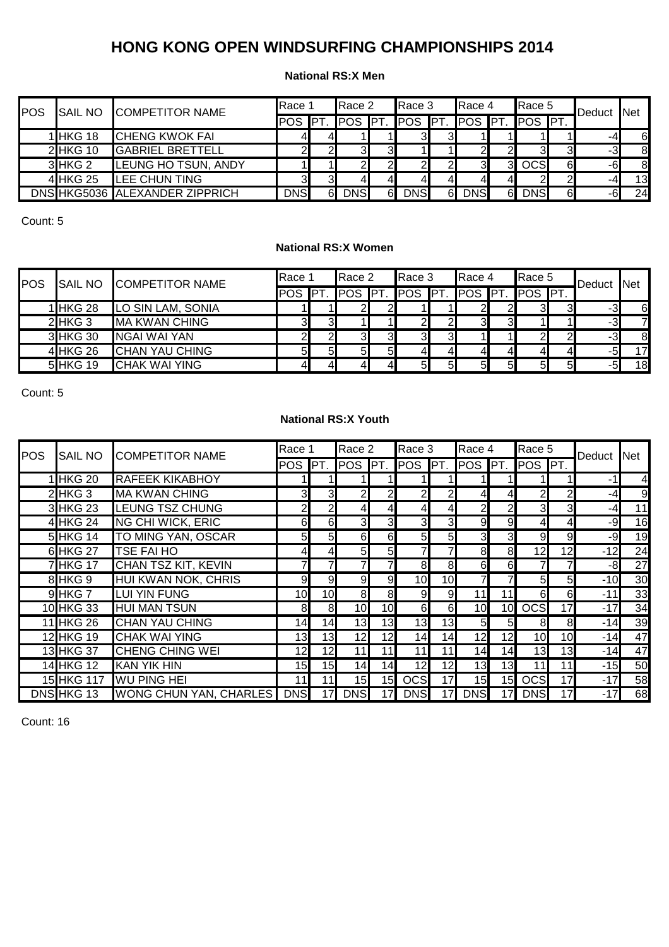### **National RS:X Men**

| POS | <b>SAIL NO</b> | <b>COMPETITOR NAME</b>         | Race 1     |            | Race 2         |    | Race 3     |     | Race 4     |                | Race 5                 |   | Deduct | <b>Net</b> |
|-----|----------------|--------------------------------|------------|------------|----------------|----|------------|-----|------------|----------------|------------------------|---|--------|------------|
|     |                |                                | <b>POS</b> | <b>IPT</b> | <b>POS PT.</b> |    | <b>POS</b> | IPT |            |                | <b>POS PT. POS PT.</b> |   |        |            |
|     | 1 HKG 18       | <b>CHENG KWOK FAI</b>          | 41         | 41         |                |    | ЗΙ         | 31  |            |                |                        |   | -4     | 6          |
|     | 2 HKG 10       | <b>GABRIEL BRETTELL</b>        |            |            |                | 3I |            |     |            |                | 31                     |   | -3     | 8          |
|     | 3 HKG 2        | LEUNG HO TSUN, ANDY            |            |            |                | 21 | 21         |     |            | 3 <sup>l</sup> | <b>OCS</b>             | 6 | -61    | 8          |
|     | 4 HKG 25       | LEE CHUN TING                  | 31         | 31         |                | 4Ι | 41         |     |            | 4              |                        |   | -4     | 13         |
|     |                | DNS HKG5036 ALEXANDER ZIPPRICH | <b>DNS</b> | 61         | <b>DNS</b>     | 61 | <b>DNS</b> | 61  | <b>DNS</b> | 61             | <b>DNS</b>             | 6 | -6     | 24         |

Count: 5

## **National RS:X Women**

| POS | <b>SAIL NO</b> | <b>COMPETITOR NAME</b> | Race 1 | Race 2         |                | Race 3                                  |    | Race 4 |    | Race 5         |                | Deduct Net |                |
|-----|----------------|------------------------|--------|----------------|----------------|-----------------------------------------|----|--------|----|----------------|----------------|------------|----------------|
|     |                |                        |        |                |                | POS PT. POS PT. POS PT. POS PT. POS PT. |    |        |    |                |                |            |                |
|     | 1 HKG 28       | LO SIN LAM, SONIA      |        |                |                |                                         |    |        |    | ЗI             |                | -31        | 6              |
|     | $2$ HKG 3      | <b>MA KWAN CHING</b>   | ЗΙ     |                |                | 21                                      |    | З.     | 31 |                |                | -31        | $\overline{z}$ |
|     | 3 HKG 30       | <b>NGAI WAI YAN</b>    | 21     | 3              |                | ЗΙ                                      |    |        |    |                |                | -3         | 8              |
|     | 4 HKG 26       | <b>CHAN YAU CHING</b>  | 5Ι     | 5 <sub>l</sub> | 5 <sub>l</sub> | $\overline{4}$                          |    |        | 4  | 41             |                | -5         | 17             |
|     | 5 HKG 19       | <b>ICHAK WAI YING</b>  | 41     |                |                | 5 <sub>l</sub>                          | 51 | 51     | 51 | 5 <sup>1</sup> | $5 \mathsf{I}$ | -5         | 18             |

Count: 5

## **National RS:X Youth**

| POS | SAIL NO           | <b>COMPETITOR NAME</b>     | Race 1          |                 | Race 2                  |                | Race 3         |                 | Race 4     |                 | Race 5                 |                 | Deduct | <b>Net</b> |
|-----|-------------------|----------------------------|-----------------|-----------------|-------------------------|----------------|----------------|-----------------|------------|-----------------|------------------------|-----------------|--------|------------|
|     |                   |                            | <b>POS</b>      | IPT.            | <b>POS</b>              | IPT.           | <b>POS</b>     | PT.             | POS        | PT.             | POS PT.                |                 |        |            |
|     | 1 HKG 20          | <b>RAFEEK KIKABHOY</b>     |                 |                 |                         |                |                |                 |            |                 |                        |                 | -1     | 4          |
|     | $2$ HKG 3         | <b>MA KWAN CHING</b>       | 31              | 31              | $\mathsf{2}\mathsf{l}$  | $\overline{c}$ | $\mathsf{2}$   | $\overline{2}$  | 4          | 4               | $\mathsf{2}\mathsf{l}$ | $\overline{2}$  | -4     | 9          |
|     | 3 HKG 23          | <b>LEUNG TSZ CHUNG</b>     | 21              | 2               | 41                      | 4              | 41             | 41              | 2          | $\overline{2}$  | 3                      | 3               | -4     | 11         |
|     | 4 HKG 24          | <b>NG CHI WICK, ERIC</b>   | $6 \mid$        | 6               | $\overline{\mathbf{3}}$ | 3              | $\overline{3}$ | $\mathbf{3}$    | 9          | 9               | $\overline{a}$         |                 | $-9$   | 16         |
|     | 5 HKG 14          | TO MING YAN, OSCAR         | 5 <sub>l</sub>  | $5 \mid$        | 6                       | 6              | 5 <sub>l</sub> | 5 <sub>l</sub>  | 3          | 3               | 9                      | 9               | $-9$   | 19         |
|     | 6 HKG 27          | <b>TSE FAI HO</b>          | 41              | 41              | 5 <sub>l</sub>          | 5 <sub>l</sub> | 7              |                 | 8          | 8               | 12                     | 12              | $-12$  | 24         |
|     | <b>7 HKG 17</b>   | <b>CHAN TSZ KIT, KEVIN</b> |                 |                 |                         | 7              | 8              | 8               | 6          | 6               |                        |                 | -8     | 27         |
|     | 8 HKG 9           | HUI KWAN NOK, CHRIS        | 9               | $9 \mid$        | 9 <sub>l</sub>          | 9              | 10             | 10              | 7          |                 | 5 <sub>l</sub>         | 5 <sub>l</sub>  | $-10$  | 30         |
|     | 9 HKG 7           | <b>LUI YIN FUNG</b>        | 10              | 10 <sup>1</sup> | 8                       | 8              | $\overline{9}$ | 9               | 11         | 11              | 6                      | 6               | $-11$  | 33         |
|     | 10 HKG 33         | <b>HUI MAN TSUN</b>        | 8               | 8               | 10                      | 10             | 6              | 6               | 10         | 10 <sup>1</sup> | <b>OCS</b>             | 17              | $-17$  | 34         |
|     | <b>11 HKG 26</b>  | <b>CHAN YAU CHING</b>      | 14              | 14              | 13                      | 13             | 13             | 13              | 5          | 5               | 8                      | 8               | $-14$  | 39         |
|     | 12 HKG 19         | <b>CHAK WAI YING</b>       | 13              | 13              | 12                      | 12             | 14             | 14              | 12         | 12              | 10                     | 10 <sup>1</sup> | $-14$  | 47         |
|     | 13 HKG 37         | <b>CHENG CHING WEI</b>     | 12 <sub>l</sub> | 12              | 11                      | 11             | 11             |                 | 14         | 14 <sub>1</sub> | 13                     | 13              | $-14$  | 47         |
|     | <b>14 HKG 12</b>  | <b>KAN YIK HIN</b>         | 15              | 15              | 14                      | 14             | 12             | 12 <sub>l</sub> | 13         | 13              | 11                     | 11              | $-15$  | 50         |
|     | 15 HKG 117        | <b>WU PING HEI</b>         | 11              | 11              | 15                      | 15             | <b>OCSI</b>    | 17              | 15         | 15              | <b>OCS</b>             | 17              | $-17$  | 58         |
|     | <b>DNS HKG 13</b> | WONG CHUN YAN, CHARLES     | <b>DNS</b>      | 17              | <b>DNS</b>              |                | <b>DNSI</b>    | 17 <sub>l</sub> | <b>DNS</b> | 17              | <b>DNS</b>             | 17              | $-17$  | 68         |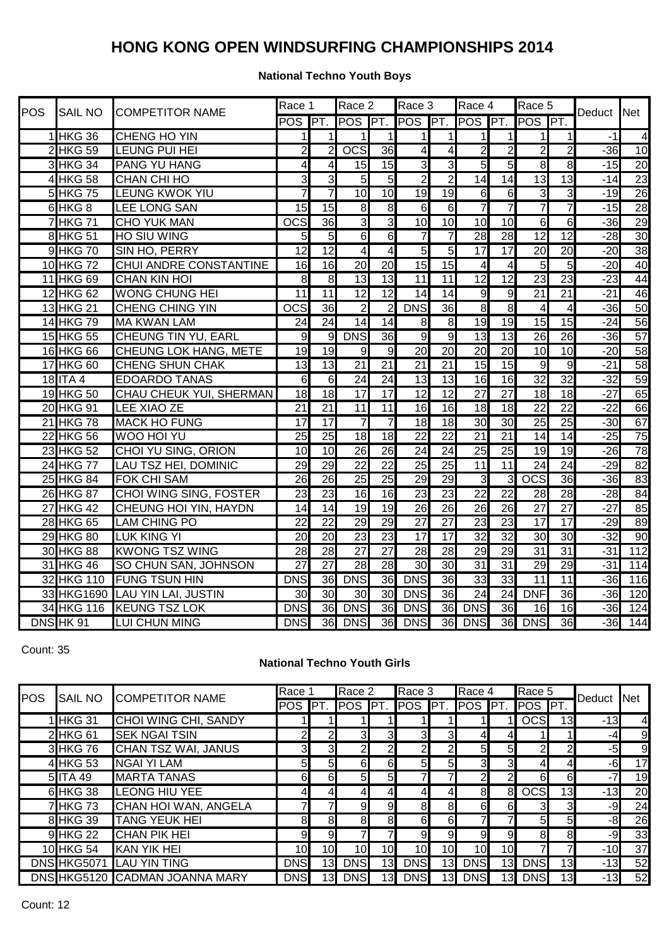## **National Techno Youth Boys**

| <b>POS</b> | <b>SAIL NO</b>   | <b>COMPETITOR NAME</b>         | Race 1           |                  | Race 2                  |                 | Race 3                  |                 | Race 4                  |                         | Race 5                  |                         | Deduct | Net                     |
|------------|------------------|--------------------------------|------------------|------------------|-------------------------|-----------------|-------------------------|-----------------|-------------------------|-------------------------|-------------------------|-------------------------|--------|-------------------------|
|            |                  |                                | POS PT.          |                  | POS <sup>PT</sup> .     |                 | POS PT.                 |                 | POS PT.                 |                         | POS PT.                 |                         |        |                         |
|            | 1 HKG 36         | CHENG HO YIN                   | $\mathbf{1}$     | 1                | $\mathbf{1}$            | $\mathbf{1}$    | $\mathbf{1}$            | 1               | 1                       | $\overline{1}$          | $\mathbf{1}$            | $\mathbf{1}$            | $-1$   | $\overline{\mathbf{A}}$ |
|            | 2 HKG 59         | LEUNG PUI HEI                  | $\overline{2}$   | $\overline{2}$   | $\overline{OCS}$        | 36              | $\overline{\mathbf{4}}$ | 4               | $\overline{2}$          | $\overline{2}$          | $\overline{2}$          | $\overline{2}$          | $-36$  | 10                      |
|            | 3 HKG 34         | <b>PANG YU HANG</b>            | 4                | 4                | 15                      | 15              | $\overline{3}$          | $\overline{3}$  | $\overline{5}$          | 5                       | 8                       | $\infty$                | $-15$  | 20                      |
|            | 4 HKG 58         | <b>CHAN CHI HO</b>             | دى               | $\overline{3}$   | 5                       | 5               | $\overline{2}$          | $\overline{2}$  | 14                      | 14                      | 13                      | 13                      | $-14$  | 23                      |
|            | 5 HKG 75         | <b>LEUNG KWOK YIU</b>          | $\overline{7}$   | $\overline{7}$   | $\overline{10}$         | 10              | 19                      | 19              | $6 \overline{}$         | 6                       | 3                       | دى                      | $-19$  | 26                      |
|            | 6 HKG 8          | <b>LEE LONG SAN</b>            | $\overline{15}$  | 15               | 8                       | 8               | 6                       | 6               | $\overline{7}$          | 7                       | $\overline{7}$          | 7                       | $-15$  | 28                      |
|            | <b>7 HKG 71</b>  | <b>CHO YUK MAN</b>             | $\overline{OCS}$ | 36               | IJ                      | 3               | 10                      | 10              | 10                      | 10                      | 6                       | 6                       | $-36$  | 29                      |
|            | 8 HKG 51         | <b>HO SIU WING</b>             | 5 <sub>l</sub>   | $\overline{5}$   | $\overline{6}$          | 6               | $\overline{7}$          | 7               | 28                      | 28                      | $\overline{12}$         | 12                      | $-28$  | 30                      |
|            | 9 HKG 70         | SIN HO, PERRY                  | $\overline{12}$  | $\overline{12}$  | $\overline{\mathbf{4}}$ | 4               | 5                       | 5               | $\overline{17}$         | 17                      | 20                      | 20                      | $-20$  | 38                      |
|            | 10 HKG 72        | <b>CHUI ANDRE CONSTANTINE</b>  | 16               | 16               | $\overline{20}$         | 20              | 15                      | 15              | $\overline{\mathbf{4}}$ | $\overline{\mathbf{4}}$ | 5                       | 5                       | $-20$  | 40                      |
|            | 11 HKG 69        | <b>CHAN KIN HOI</b>            | 8                | $\infty$         | $\overline{13}$         | $\overline{3}$  | $\overline{11}$         | $\overline{11}$ | 12                      | 12                      | 23                      | 23                      | $-23$  | 44                      |
|            | 12 HKG 62        | <b>WONG CHUNG HEI</b>          | $\overline{11}$  | 11               | $\overline{12}$         | 12              | $\overline{14}$         | 14              | $\overline{9}$          | $\overline{9}$          | $\overline{21}$         | $\overline{21}$         | $-21$  | 46                      |
|            | 13 HKG 21        | <b>CHENG CHING YIN</b>         | $\overline{OCS}$ | 36               | $\overline{2}$          | $\overline{2}$  | <b>DNS</b>              | 36              | $\infty$                | $\infty$                | $\overline{\mathbf{4}}$ | $\overline{\mathbf{4}}$ | $-36$  | 50                      |
|            | 14 HKG 79        | <b>MA KWAN LAM</b>             | 24               | 24               | $\overline{14}$         | $\overline{14}$ | $\infty$                | $\infty$        | 19                      | 19                      | 15                      | 15                      | $-24$  | 56                      |
|            | 15 HKG 55        | <b>CHEUNG TIN YU, EARL</b>     | $\overline{9}$   |                  | 9 DNS                   | 36              | $\overline{9}$          | $\overline{9}$  | 13                      | 13                      | $\overline{26}$         | 26                      | $-36$  | $\overline{57}$         |
|            | 16 HKG 66        | <b>CHEUNG LOK HANG, METE</b>   | $\overline{19}$  | 19               | 9                       | 9               | $\overline{20}$         | 20              | $\overline{20}$         | 20                      | 10                      | 10                      | $-20$  | 58                      |
|            | 17 HKG 60        | <b>CHENG SHUN CHAK</b>         | $\overline{13}$  | 13               | $\overline{21}$         | $\overline{21}$ | $\overline{21}$         | 21              | 15                      | 15                      | g                       | g                       | $-21$  | 58                      |
|            | 18 ITA 4         | <b>EDOARDO TANAS</b>           | $\overline{6}$   | $6 \overline{6}$ | $\overline{24}$         | 24              | $\overline{13}$         | 13              | 16                      | 16                      | $\overline{32}$         | $\overline{32}$         | $-32$  | 59                      |
|            | 19 HKG 50        | CHAU CHEUK YUI, SHERMAN        | 18               | 18               | 17                      | 17              | 12                      | 12              | $\overline{27}$         | $\overline{27}$         | 18                      | 18                      | $-27$  | 65                      |
|            | 20 HKG 91        | <b>LEE XIAO ZE</b>             | $\overline{21}$  | $\overline{21}$  | $\overline{11}$         | 11              | $\overline{6}$          | 16              | 18                      | 18                      | $\overline{22}$         | $\overline{22}$         | $-22$  | 66                      |
|            | 21 HKG 78        | <b>MACK HO FUNG</b>            | 17               | $\overline{17}$  | $\overline{7}$          | 7               | $\frac{1}{8}$           | 18              | 30                      | 30                      | 25                      | $\overline{25}$         | $-30$  | 67                      |
|            | 22 HKG 56        | <b>WOO HOI YU</b>              | $\overline{25}$  | $\overline{25}$  | 18                      | 18              | $\overline{22}$         | $\overline{22}$ | $\overline{21}$         | 21                      | 14                      | 14                      | $-25$  | 75                      |
|            | 23 HKG 52        | <b>CHOI YU SING, ORION</b>     | 10               | 10               | 26                      | 26              | $\overline{24}$         | 24              | $\overline{25}$         | 25                      | 19                      | 19                      | $-26$  | 78                      |
|            | 24 HKG 77        | <b>LAU TSZ HEI, DOMINIC</b>    | $\overline{29}$  | 29               | $\overline{22}$         | $\overline{22}$ | $\overline{25}$         | $\overline{25}$ | $\overline{11}$         | $\overline{11}$         | $\overline{24}$         | 24                      | $-29$  | $\overline{82}$         |
|            | 25 HKG 84        | <b>FOK CHI SAM</b>             | 26               | $\overline{26}$  | $\overline{25}$         | $\overline{25}$ | 29                      | 29              | 3                       | 3                       | $\overline{OCS}$        | $\overline{36}$         | $-36$  | 83                      |
|            | 26 HKG 87        | <b>CHOI WING SING, FOSTER</b>  | $\overline{23}$  | $\overline{23}$  | $\overline{6}$          | 16              | $\overline{23}$         | 23              | $\overline{22}$         | $\overline{22}$         | $\overline{28}$         | $\overline{28}$         | $-28$  | $\overline{84}$         |
|            | <b>27 HKG 42</b> | <b>CHEUNG HOI YIN, HAYDN</b>   | $\overline{14}$  | 14               | $\overline{19}$         | 19              | $\overline{26}$         | 26              | $\overline{26}$         | 26                      | $\overline{27}$         | $\overline{27}$         | $-27$  | 85                      |
|            | 28 HKG 65        | <b>LAM CHING PO</b>            | 22               | $\overline{22}$  | 29                      | $\overline{29}$ | $\overline{27}$         | $\overline{27}$ | 23                      | 23                      | $\overline{17}$         | $\overline{17}$         | $-29$  | 89                      |
|            | 29 HKG 80        | <b>LUK KING YI</b>             | 20               | $\overline{20}$  | 23                      | 23              | $\overline{17}$         | $\overline{17}$ | $\overline{32}$         | 32                      | 30                      | 30                      | $-32$  | 90                      |
|            | 30 HKG 88        | <b>KWONG TSZ WING</b>          | 28               | $\overline{28}$  | $\overline{27}$         | $\overline{27}$ | 28                      | $\overline{28}$ | 29                      | 29                      | 31                      | 31                      | $-31$  | $\overline{112}$        |
|            | 31 HKG 46        | SO CHUN SAN, JOHNSON           | $\overline{27}$  | $\overline{27}$  | 28                      | 28              | 30                      | 30              | $\overline{31}$         | 31                      | 29                      | 29                      | $-31$  | 114                     |
|            |                  | 32 HKG 110 FUNG TSUN HIN       | <b>DNS</b>       | 36               | <b>DNS</b>              | 36              | <b>DNS</b>              | 36              | 33                      | 33                      | $\overline{11}$         | 11                      | $-36$  | 116                     |
|            |                  | 33 HKG1690 LAU YIN LAI, JUSTIN | 30               | 30               | 30                      | 30              | <b>DNS</b>              | 36              | 24                      | 24                      | <b>DNF</b>              | 36                      | $-36$  | 120                     |
|            |                  | 34 HKG 116 KEUNG TSZ LOK       | <b>DNS</b>       | 36               | <b>DNS</b>              | 36              | <b>DNS</b>              | 36              | <b>DNS</b>              | 36                      | 16                      | $\overline{16}$         | $-36$  | 124                     |
|            | DNS HK 91        | <b>LUI CHUN MING</b>           | <b>DNS</b>       |                  | <b>36 DNS</b>           | 36              | <b>DNS</b>              | 36              | <b>DNS</b>              | 36                      | <b>DNS</b>              | 36                      | $-36$  | $\overline{144}$        |

Count: 35

# **National Techno Youth Girls**

|            |                |                                | Race 1          |                 | Race 2         |                 | Race 3         |                 | Race 4          |                 | Race 5         |                 |        |                |
|------------|----------------|--------------------------------|-----------------|-----------------|----------------|-----------------|----------------|-----------------|-----------------|-----------------|----------------|-----------------|--------|----------------|
| <b>POS</b> | <b>SAIL NO</b> | <b>COMPETITOR NAME</b>         | <b>POS</b>      | PT.             | <b>POS</b>     | IPT.            | POS PT.        |                 | POS <b>PT.</b>  |                 | POS PT.        |                 | Deduct | <b>Net</b>     |
|            | 1 HKG 31       | <b>CHOI WING CHI, SANDY</b>    |                 |                 |                |                 |                |                 |                 |                 | <b>OCS</b>     | 13              | $-13$  | $\overline{4}$ |
|            | 2 HKG 61       | <b>SEK NGAI TSIN</b>           | 21              |                 | 31             | $3 \Box$        | 3 <sub>l</sub> | 31              |                 |                 |                |                 | -41    | 9              |
|            | 3 HKG 76       | <b>CHAN TSZ WAI, JANUS</b>     | 3 <sub>l</sub>  | 3 <sub>l</sub>  | $\overline{2}$ | $\overline{2}$  | 2              | 2               | 5 <sub>l</sub>  | 5 <sub>l</sub>  | $\mathbf{2}$   | $\mathbf{p}$    | $-5$   | 9              |
|            | 4 HKG 53       | <b>NGAI YI LAM</b>             | 51              | 51              | 6              | 6               | 5 <sub>l</sub> | 5 <sub>l</sub>  | 3 <sup>l</sup>  | 3               | 4              | 41              | -6     | 17             |
|            | 5 ITA 49       | <b>MARTA TANAS</b>             | 6               | 61              | 5 <sub>l</sub> | 5 <sub>l</sub>  |                |                 | 2 <sub>l</sub>  | 2               | 6              | 6               | $-7$   | 19             |
|            | 6 HKG 38       | <b>LEONG HIU YEE</b>           | 41              |                 |                | 41              | 41             |                 | 81              | 8 <sup>l</sup>  | <b>OCS</b>     | 13              | $-13$  | 20             |
|            | 7 HKG 73       | CHAN HOI WAN, ANGELA           |                 |                 | 9              | 9               | 8 <sup>l</sup> | 81              | 61              | 6               | 3              | 3               | -9     | 24             |
|            | 8 HKG 39       | <b>TANG YEUK HEI</b>           | 8               | 81              | 8              | 8               | 6              | 6               |                 |                 | 5 <sub>l</sub> | 5 <sub>l</sub>  | $-8$   | 26             |
|            | 9 HKG 22       | <b>CHAN PIK HEI</b>            | 9               | 9 <sub>l</sub>  |                |                 | $\overline{9}$ | 9               | 9               | 9               | 8              | 8               | -9     | 33             |
|            | 10 HKG 54      | <b>KAN YIK HEI</b>             | 10 <sup>1</sup> | 10I             | 10             | 10 <sup>1</sup> | 10             | 10 <sub>l</sub> | 10 <sup>1</sup> | 10 <sup>1</sup> | 7              |                 | $-10$  | 37             |
|            |                | DNS HKG5071 LAU YIN TING       | <b>DNS</b>      | 13 <sup>l</sup> | <b>DNS</b>     | 13              | <b>DNS</b>     | 13              | <b>DNS</b>      | 13              | <b>DNS</b>     | 13              | $-13$  | 52             |
|            |                | DNS HKG5120 CADMAN JOANNA MARY | <b>DNS</b>      | 13.             | <b>DNS</b>     | 13              | <b>DNS</b>     | 13              | <b>DNS</b>      | 13              | <b>DNS</b>     | 13 <sub>l</sub> | $-13$  | 52             |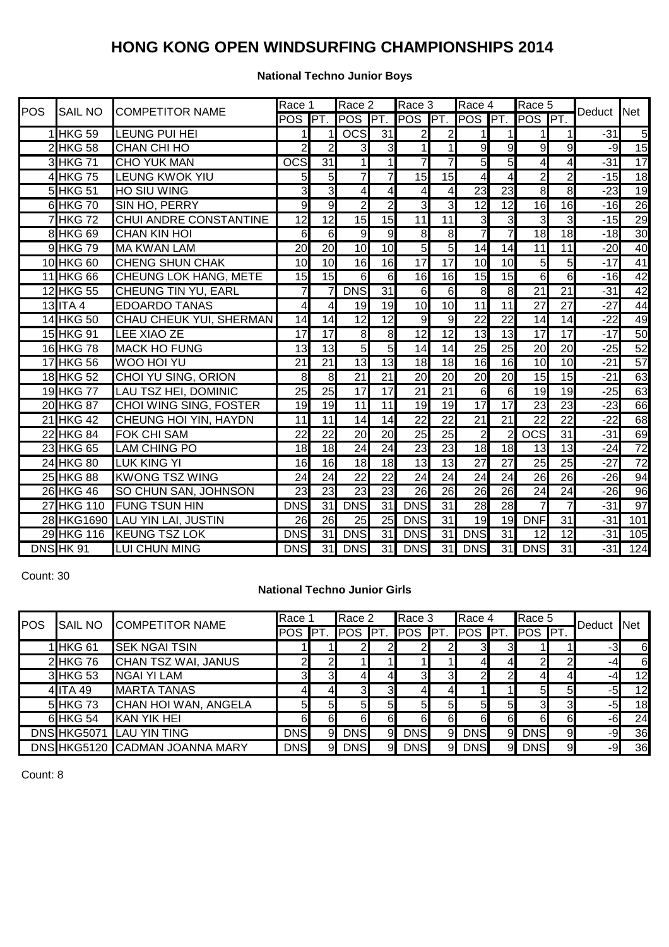## **National Techno Junior Boys**

| POS | <b>SAIL NO</b>   | <b>COMPETITOR NAME</b>        | Race 1              |                 | Race 2              |                 | Race 3          |                 | Race 4                  |                 | Race 5           |                 | Deduct | <b>Net</b>       |
|-----|------------------|-------------------------------|---------------------|-----------------|---------------------|-----------------|-----------------|-----------------|-------------------------|-----------------|------------------|-----------------|--------|------------------|
|     |                  |                               | POS                 | P               | POS <sup>PT</sup> . |                 | POS PT.         |                 | POS <sup>PT</sup> .     |                 | POS PT.          |                 |        |                  |
|     | 1 HKG 59         | <b>LEUNG PUI HEI</b>          | 1                   | 11              | $\overline{OCS}$    | $\overline{31}$ | $\overline{2}$  | $\overline{c}$  | $\mathbf{1}$            | 1               | 11               | 11              | $-31$  | $\overline{5}$   |
|     | 2 HKG 58         | CHAN CHI HO                   | $\overline{2}$      | $\overline{2}$  | $\overline{3}$      | $\overline{3}$  | 1               | $\mathbf{1}$    | $\overline{9}$          | $\overline{9}$  | $\overline{9}$   | $\overline{9}$  | -9     | 15               |
|     | 3 HKG 71         | <b>CHO YUK MAN</b>            | <b>OCS</b>          | 31              | 1                   | $\overline{1}$  | 7               | 7               | $\overline{5}$          | $\overline{5}$  | $\overline{4}$   | $\overline{4}$  | $-31$  | 17               |
|     | 4 HKG 75         | <b>LEUNG KWOK YIU</b>         | 5 <sub>l</sub>      | 5 <sub>l</sub>  | 7                   | 7               | 15              | 15              | $\overline{\mathbf{4}}$ | 4               | $\overline{2}$   | $\overline{2}$  | $-15$  | 18               |
|     | 5 HKG 51         | <b>HO SIU WING</b>            | $\overline{3}$      | 3               | 4                   | $\overline{4}$  | $\overline{4}$  | $\overline{4}$  | $\overline{23}$         | 23              | $\overline{8}$   | $\overline{8}$  | $-23$  | $\overline{19}$  |
|     | 6 HKG 70         | SIN HO, PERRY                 | 9                   | $\overline{9}$  | $\overline{2}$      | $\overline{2}$  | $\overline{3}$  | $\overline{3}$  | 12                      | $\overline{12}$ | 16               | 16              | $-16$  | 26               |
|     | <b>7 HKG 72</b>  | CHUI ANDRE CONSTANTINE        | $\overline{12}$     | $\overline{12}$ | $\overline{15}$     | 15              | $\overline{11}$ | 11              | $\overline{\mathbf{3}}$ | دن              | دن               | دی              | $-15$  | 29               |
|     | <b>8 HKG 69</b>  | <b>CHAN KIN HOI</b>           | 6                   | $\overline{6}$  | 9                   | 9               | 8               | 8               | 7                       | 7               | 18               | $\overline{18}$ | $-18$  | 30               |
|     | 9 HKG 79         | <b>MA KWAN LAM</b>            | 20                  | 20              | $\overline{10}$     | 10              | 5               | $\overline{5}$  | 14                      | 14              | $\overline{11}$  | $\overline{11}$ | $-20$  | 40               |
|     | 10 HKG 60        | <b>CHENG SHUN CHAK</b>        | 10                  | 10              | $\overline{16}$     | $\overline{16}$ | $\overline{17}$ | $\overline{17}$ | 10                      | 10              | $\overline{5}$   | $\overline{5}$  | $-17$  | 41               |
|     | 11 HKG 66        | <b>CHEUNG LOK HANG, METE</b>  | 15                  | 15              | 6                   | 6               | $\overline{16}$ | 16              | 15                      | $\overline{15}$ | $\overline{6}$   | 6               | $-16$  | 42               |
|     | 12 HKG 55        | <b>CHEUNG TIN YU, EARL</b>    | $\overline{7}$      | $\overline{7}$  | <b>DNS</b>          | 31              | 6               | 6               | $\infty$                | $\infty$        | $\overline{21}$  | $\overline{21}$ | $-31$  | 42               |
|     | $13$ ITA 4       | <b>EDOARDO TANAS</b>          | 4                   | 4               | 19                  | $\overline{19}$ | 10              | 10              | $\overline{11}$         | 11              | $\overline{27}$  | $\overline{27}$ | $-27$  | 44               |
|     | <b>14 HKG 50</b> | CHAU CHEUK YUI, SHERMAN       | 14                  | 14              | $\overline{12}$     | $\overline{12}$ | 9               | 9               | $\overline{22}$         | $\overline{22}$ | 14               | 14              | $-22$  | 49               |
|     | 15 HKG 91        | <b>LEE XIAO ZE</b>            | $\overline{17}$     | $\overline{17}$ | 8                   | $\infty$        | 12              | 12              | 13                      | 13              | $\overline{17}$  | 17              | $-17$  | 50               |
|     | 16 HKG 78        | <b>MACK HO FUNG</b>           | 13                  | 13              | 5                   | $\overline{5}$  | 14              | 14              | 25                      | 25              | 20               | 20              | -25    | 52               |
|     | $17$ HKG 56      | <b>WOO HOI YU</b>             | 21                  | $\overline{21}$ | 13                  | 13              | 18              | 18              | 16                      | 16              | 10 <sup>1</sup>  | 10              | $-21$  | 57               |
|     | 18 HKG 52        | CHOI YU SING, ORION           | $\overline{\infty}$ | $\infty$        | $\overline{21}$     | $\overline{21}$ | $\overline{20}$ | $\overline{20}$ | 20                      | $\overline{20}$ | 15               | 15              | $-21$  | 63               |
|     | 19 HKG 77        | LAU TSZ HEI, DOMINIC          | 25                  | $\overline{25}$ | $\overline{17}$     | $\overline{17}$ | $\overline{21}$ | 21              | 6                       | $\overline{6}$  | 19               | 19              | $-25$  | 63               |
|     | 20 HKG 87        | <b>CHOI WING SING, FOSTER</b> | 19                  | 19              | $\overline{11}$     | 11              | $\overline{19}$ | 19              | $\overline{17}$         | $\overline{17}$ | 23               | 23              | $-23$  | 66               |
|     | 21 HKG 42        | <b>CHEUNG HOI YIN, HAYDN</b>  | $\overline{11}$     | $\overline{11}$ | 14                  | $\overline{14}$ | $\overline{22}$ | $\overline{22}$ | $\overline{21}$         | $\overline{21}$ | $\overline{22}$  | $\overline{22}$ | $-22$  | 68               |
|     | <b>22 HKG 84</b> | <b>FOK CHI SAM</b>            | $\overline{22}$     | $\overline{22}$ | $\overline{20}$     | 20              | $\overline{25}$ | 25              | $\overline{2}$          | $\overline{2}$  | $\overline{ocs}$ | 31              | $-31$  | 69               |
|     | 23 HKG 65        | <b>LAM CHING PO</b>           | 18                  | 18              | 24                  | 24              | 23              | 23              | 18                      | 18              | 13               | 13              | $-24$  | $\overline{72}$  |
|     | 24 HKG 80        | <b>LUK KING YI</b>            | 16                  | 16              | $\overline{18}$     | $\overline{18}$ | $\overline{13}$ | $\overline{13}$ | $\overline{27}$         | $\overline{27}$ | 25               | 25              | $-27$  | $\overline{72}$  |
|     | 25 HKG 88        | <b>KWONG TSZ WING</b>         | $\overline{24}$     | $\overline{24}$ | $\overline{22}$     | $\overline{22}$ | $\overline{24}$ | $\overline{24}$ | 24                      | $\overline{24}$ | 26               | 26              | $-26$  | 94               |
|     | 26 HKG 46        | SO CHUN SAN, JOHNSON          | 23                  | $\overline{23}$ | 23                  | 23              | 26              | 26              | 26                      | 26              | $\overline{24}$  | $\overline{24}$ | $-26$  | 96               |
|     | 27 HKG 110       | <b>FUNG TSUN HIN</b>          | <b>DNS</b>          | 31              | <b>DNS</b>          | $\overline{31}$ | <b>DNS</b>      | $\overline{31}$ | $\overline{28}$         | 28              | $\overline{7}$   | 7               | $-31$  | 97               |
|     | 28 HKG1690       | <b>LAU YIN LAI, JUSTIN</b>    | 26                  | 26              | $\overline{25}$     | 25              | <b>DNS</b>      | 31              | 19                      | 19              | <b>DNF</b>       | 31              | $-31$  | 101              |
|     | 29 HKG 116       | <b>KEUNG TSZ LOK</b>          | <b>DNS</b>          | 31              | <b>DNS</b>          | 31              | <b>DNS</b>      | 31              | <b>DNS</b>              | 31              | 12               | 12              | $-31$  | 105              |
|     | DNS HK 91        | <b>LUI CHUN MING</b>          | <b>DNS</b>          | 31              | <b>DNS</b>          | 31              | <b>DNS</b>      | 31              | <b>DNS</b>              | 31              | <b>DNS</b>       | 31              | $-31$  | $\overline{124}$ |

Count: 30

## **National Techno Junior Girls**

| POS | <b>SAIL NO</b> | <b>COMPETITOR NAME</b>         | Race 1         |                | Race 2          |                | Race 3         |    | Race 4         |                | Race 5         |                  | Deduct | <b>Net</b> |
|-----|----------------|--------------------------------|----------------|----------------|-----------------|----------------|----------------|----|----------------|----------------|----------------|------------------|--------|------------|
|     |                |                                |                |                | POS PT. POS PT. |                | POS PT.        |    | <b>POS PT.</b> |                | POS PT.        |                  |        |            |
|     | 1 HKG 61       | <b>SEK NGAI TSIN</b>           |                |                |                 | ∠∣             | 21             |    | 3              | 3              |                |                  | $-3$   | 6          |
|     | 2 HKG 76       | CHAN TSZ WAI, JANUS            | 21             |                |                 |                |                |    |                |                | $\mathbf{2}$   |                  | -4     | 6          |
|     | $3$ HKG 53     | <b>NGAI YI LAM</b>             | 31             | 3 <sup>l</sup> |                 |                | 3              |    | ി              | $\overline{2}$ | 41             |                  | $-4$   | 12         |
|     | 4 ITA 49       | <b>MARTA TANAS</b>             | 41             |                | 3               | 31             | 41             |    |                |                | 5 <sub>l</sub> | $5 \blacksquare$ | -51    | 12         |
|     | $5HKG$ 73      | CHAN HOI WAN, ANGELA           | 5 <sub>l</sub> | 5Ι             | 5 <sub>l</sub>  | 5 <sub>l</sub> | 5 <sub>l</sub> | 5  | 5 <sub>l</sub> | 5 <sub>l</sub> | 3 <sup>l</sup> | 3 <sup>l</sup>   | $-5$   | 18         |
|     | $6$ HKG 54     | <b>KAN YIK HEI</b>             | 61             |                | 6               | 61             | 6              | 61 | 61             | 6              | 6              | 6                | -6     | 24         |
|     | DNS HKG5071    | LAU YIN TING                   | <b>DNS</b>     | 9 <sup>l</sup> | <b>DNS</b>      | 9 <sub>l</sub> | <b>DNS</b>     | 9  | <b>DNS</b>     | 9              | <b>DNS</b>     | 9                | -9     | 36         |
|     |                | DNS HKG5120 CADMAN JOANNA MARY | <b>DNS</b>     | 91             | <b>DNS</b>      | 91             | <b>DNS</b>     | 9  | <b>DNS</b>     | 9              | <b>DNS</b>     | 9                | $-9$   | 36         |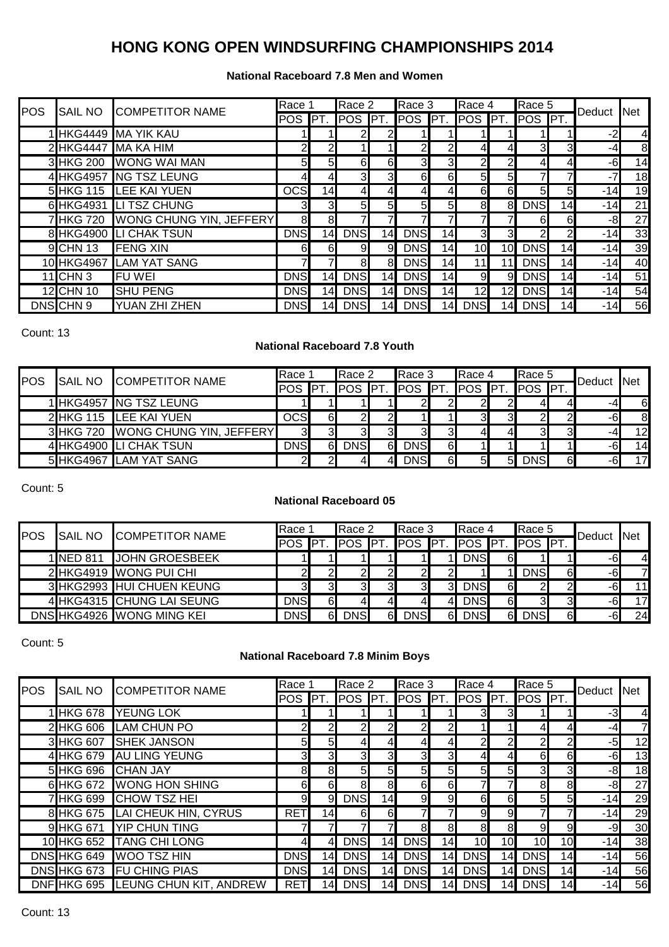### **National Raceboard 7.8 Men and Women**

|            |                | <b>COMPETITOR NAME</b>         | Race 1         |                 | Race 2           |                | Race 3         |                 | Race 4         |                 | Race 5          |                 | Deduct Net |                |
|------------|----------------|--------------------------------|----------------|-----------------|------------------|----------------|----------------|-----------------|----------------|-----------------|-----------------|-----------------|------------|----------------|
| <b>POS</b> | <b>SAIL NO</b> |                                | POS <b>PT.</b> |                 | POS <b>PT.</b>   |                | <b>POS PT.</b> |                 | POS PT.        |                 | POS PT.         |                 |            |                |
|            |                | 1 HKG4449 MA YIK KAU           |                |                 |                  |                |                |                 |                |                 |                 |                 | $-2$       | $\mathbf{4}$   |
|            |                | 2 HKG4447 MA KA HIM            | 2 <sub>l</sub> | 21              |                  |                | $\overline{2}$ | 21              | 41             | $\overline{4}$  | 3 <sup>l</sup>  | 3               | -4         | 8 <sup>1</sup> |
|            |                | 3 HKG 200 WONG WAI MAN         | 5 <sub>l</sub> | 5 <sub>l</sub>  | 6                | 6              | 3 <sup>l</sup> | 3               | $\overline{2}$ | $\overline{a}$  | 4               |                 | $-6$       | 14             |
|            |                | 4 HKG4957 NG TSZ LEUNG         | 41             | 41              | $3 \blacksquare$ | 3 <sup>l</sup> | 6              | 61              | 5 <sub>l</sub> | 5 <sub>l</sub>  | 7               |                 | $-7$       | 18             |
|            |                | 5 HKG 115 LEE KAI YUEN         | <b>OCS</b>     | 14              | 4                |                | $\overline{4}$ | 41              | 6              | 6               | 5 <sub>l</sub>  | 5               | $-14$      | 19             |
|            |                | 6 HKG4931 LITSZ CHUNG          | 3              | $3 \Box$        | 5 <sub>l</sub>   | 5 <sub>l</sub> | 5              | $5 \mid$        | 8              | 8 <sup>1</sup>  | <b>DNS</b>      | 14 <sub>1</sub> | $-14$      | 21             |
|            | 7HKG 720       | <b>WONG CHUNG YIN, JEFFERY</b> | 8              | 8               |                  |                | 71             |                 |                |                 | $6\blacksquare$ | 61              | -8         | 27             |
|            |                | 8 HKG4900 LI CHAK TSUN         | <b>DNS</b>     | 14              | <b>DNS</b>       | 14             | <b>DNS</b>     | 14              | 3 <sub>l</sub> | 31              | $\mathbf{2}$    | $\overline{2}$  | $-14$      | 33             |
|            | 9 CHN 13       | <b>FENG XIN</b>                | 61             | 6               | 9                | 91             | <b>DNS</b>     | 14              | 10             | 10 <sup>1</sup> | <b>DNS</b>      | 14              | $-14$      | 39             |
|            | 10 HKG4967     | <b>LAM YAT SANG</b>            |                |                 | 8                | 81             | <b>DNS</b>     | 14              |                |                 | <b>DNS</b>      | 14              | $-14$      | 40             |
|            | $11$ CHN 3     | <b>FUWEI</b>                   | <b>DNS</b>     | 141             | <b>DNS</b>       | 14             | <b>DNS</b>     | 14              | 9              | 9               | <b>DNS</b>      | 14              | $-14$      | 51             |
|            | 12 CHN 10      | <b>SHU PENG</b>                | <b>DNS</b>     | 141             | <b>DNS</b>       | 141            | <b>DNS</b>     | 14 <sub>l</sub> | 12             | 12I             | <b>DNS</b>      | 14              | $-14$      | 54             |
|            | DNSCHN 9       | YUAN ZHI ZHEN                  | <b>DNS</b>     | 14 <sub>l</sub> | <b>DNS</b>       | 14I            | <b>DNS</b>     | 141             | <b>DNS</b>     | 14              | <b>DNS</b>      | 14              | $-14$      | 56             |

Count: 13

## **National Raceboard 7.8 Youth**

| <b>POS</b> | <b>SAIL NO</b> | <b>COMPETITOR NAME</b>  | <b>Race</b> |     | Race 2     |    | Race 3     |    | Race 4        |                | Race 5        |    | Deduct | <b>INet</b> |
|------------|----------------|-------------------------|-------------|-----|------------|----|------------|----|---------------|----------------|---------------|----|--------|-------------|
|            |                |                         | <b>POS</b>  | IPT | <b>POS</b> |    | POS PT.    |    | <b>POS PT</b> |                | <b>POS PT</b> |    |        |             |
|            |                | 1 HKG4957 NG TSZ LEUNG  |             |     |            |    |            |    |               |                | 41            | 41 | -4     | 6           |
|            | 2 HKG 115      | <b>LEE KAI YUEN</b>     | <b>OCS</b>  | 61  |            | 2  |            |    |               | 3              |               |    | -6     | 8           |
|            | 3 HKG 720      | WONG CHUNG YIN, JEFFERY | 3           |     |            | 31 | 3І         |    |               | 41             | 31            | 3  | -4     | 12          |
|            |                | 4 HKG4900 LI CHAK TSUN  | <b>DNS</b>  | 61  | <b>DNS</b> | 6  | <b>DNS</b> | 61 |               |                |               |    | -6     | 14          |
|            |                | 5 HKG4967 LAM YAT SANG  | っ           |     |            | 41 | <b>DNS</b> | 61 |               | 5 <sub>l</sub> | <b>DNS</b>    | 61 | -61    | 17          |

Count: 5

## **National Raceboard 05**

| POS | <b>SAIL NO</b>   | <b>COMPETITOR NAME</b>    | Race        |     | Race 2     |                  | Race 3     |                | Race 4        |    | Race 5     |            | Deduct | <b>INet</b>    |
|-----|------------------|---------------------------|-------------|-----|------------|------------------|------------|----------------|---------------|----|------------|------------|--------|----------------|
|     |                  |                           | <b>IPOS</b> | IPT | <b>POS</b> | <b>IPT</b>       | <b>POS</b> | <b>IPT</b>     | <b>POS PT</b> |    | <b>POS</b> | <b>IPT</b> |        |                |
|     | <b>1INED 811</b> | <b>JOHN GROESBEEK</b>     |             |     |            |                  |            |                | <b>DNS</b>    | 61 |            |            | -6     | $\overline{4}$ |
|     |                  | 2 HKG4919 WONG PUI CHI    | 21          |     |            |                  | 21         |                |               |    | <b>DNS</b> | 6          | -61    | 7              |
|     |                  | 3 HKG2993 HUI CHUEN KEUNG | 3           | 31  | 31         | 31               | 3          | 3 <sub>l</sub> | <b>DNS</b>    | 61 | 21         |            | -6     | 11             |
|     |                  | 4 HKG4315 CHUNG LAI SEUNG | <b>DNS</b>  | 61  | 4          | 4                | 41         |                | <b>DNS</b>    | 6  | 31         | 3          | -61    | 17             |
|     |                  | DNS HKG4926 WONG MING KEI | <b>DNS</b>  | 61  | <b>DNS</b> | $6 \blacksquare$ | <b>DNS</b> | 61             | <b>DNS</b>    | 6  | <b>DNS</b> | 6          | -61    | 24             |

Count: 5

## **National Raceboard 7.8 Minim Boys**

| POS | SAIL NO          | <b>COMPETITOR NAME</b>             | Race           |                 | Race 2         |                | Race 3         |                 | Race 4         |                 | Race 5         |                | Deduct | <b>Net</b>     |
|-----|------------------|------------------------------------|----------------|-----------------|----------------|----------------|----------------|-----------------|----------------|-----------------|----------------|----------------|--------|----------------|
|     |                  |                                    | POS <b>PT.</b> |                 | POS <b>PT.</b> |                | POS PT.        |                 | <b>POS PT.</b> |                 | POS <b>PT.</b> |                |        |                |
|     | 1 HKG 678        | <b>YEUNG LOK</b>                   |                |                 |                |                |                |                 | 31             | 3               |                |                | $-3$   | $\overline{4}$ |
|     |                  | 2 HKG 606 LAM CHUN PO              |                | 2               | $\overline{2}$ | 21             | $\overline{2}$ | 2 <sub>l</sub>  |                |                 | 41             | 41             | -4     | $\overline{7}$ |
|     | 3 HKG 607        | <b>SHEK JANSON</b>                 | 51             | $5 \mid$        | 41             | 41             | 4              | 41              | 21             | 21              | $\mathbf{2}$   | 21             | -5     | 12             |
|     |                  | 4 HKG 679 AU LING YEUNG            | 31             | 31              | ЗΙ             | 3              | 3              | 3               | 41             | 41              | 6              | 6              | -6     | 13             |
|     | 5 HKG 696        | <b>CHAN JAY</b>                    | 81             | 8               | 5 <sub>l</sub> | 5 <sub>l</sub> | 5 <sub>l</sub> | 51              | 51             | 5               | 3 <sub>l</sub> | 31             | -8     | 18             |
|     | 6 HKG 672        | <b>WONG HON SHING</b>              | 6              | 6               | 8              | 8              | 6              | 61              |                |                 | 8              | 8              | -8     | 27             |
|     | <b>7 HKG 699</b> | <b>CHOW TSZ HEI</b>                | 9              | 9               | <b>DNS</b>     | 14             | 9              | 9               | 6              | 6               | 5 <sub>l</sub> | 5 <sub>l</sub> | $-14$  | 29             |
|     |                  | 8 HKG 675 LAI CHEUK HIN, CYRUS     | <b>RET</b>     | 14 <sub>1</sub> | 6              | 6              | 7              |                 | 9              | 9               | 71             |                | $-14$  | 29             |
|     | 9 HKG 671        | <b>YIP CHUN TING</b>               |                |                 | 71             |                | 8              | 8               | 8              | 8               | $\overline{9}$ | 9              | -9     | 30             |
|     | 10 HKG 652       | <b>TANG CHI LONG</b>               | 41             | 41              | <b>DNS</b>     | 14             | <b>DNS</b>     | 14              | 10             | 10              | 10             | 10             | $-14$  | 38             |
|     | DNS HKG 649      | <b>WOO TSZ HIN</b>                 | <b>DNS</b>     | 14              | <b>DNS</b>     | 14I            | <b>DNS</b>     | 14              | <b>DNS</b>     | 14 <sub>l</sub> | <b>DNS</b>     | 14             | $-14$  | 56             |
|     | DNS HKG 673      | <b>FU CHING PIAS</b>               | <b>DNS</b>     | 14              | <b>DNS</b>     | 14I            | <b>DNS</b>     | 14              | <b>DNS</b>     | 14              | <b>DNS</b>     | 14             | $-14$  | 56             |
|     |                  | DNF HKG 695 LEUNG CHUN KIT, ANDREW | <b>RET</b>     | 14.             | <b>DNS</b>     | 141            | <b>DNS</b>     | 14 <sub>l</sub> | <b>DNS</b>     | 14              | <b>DNS</b>     | 14             | $-14$  | 56             |